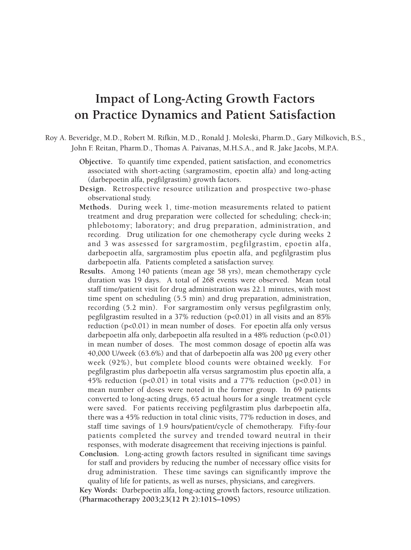# **Impact of Long-Acting Growth Factors on Practice Dynamics and Patient Satisfaction**

- Roy A. Beveridge, M.D., Robert M. Rifkin, M.D., Ronald J. Moleski, Pharm.D., Gary Milkovich, B.S., John F. Reitan, Pharm.D., Thomas A. Paivanas, M.H.S.A., and R. Jake Jacobs, M.P.A.
	- **Objective.** To quantify time expended, patient satisfaction, and econometrics associated with short-acting (sargramostim, epoetin alfa) and long-acting (darbepoetin alfa, pegfilgrastim) growth factors.
	- **Design.** Retrospective resource utilization and prospective two-phase observational study.
	- **Methods.** During week 1, time-motion measurements related to patient treatment and drug preparation were collected for scheduling; check-in; phlebotomy; laboratory; and drug preparation, administration, and recording. Drug utilization for one chemotherapy cycle during weeks 2 and 3 was assessed for sargramostim, pegfilgrastim, epoetin alfa, darbepoetin alfa, sargramostim plus epoetin alfa, and pegfilgrastim plus darbepoetin alfa. Patients completed a satisfaction survey.
	- **Results.** Among 140 patients (mean age 58 yrs), mean chemotherapy cycle duration was 19 days. A total of 268 events were observed. Mean total staff time/patient visit for drug administration was 22.1 minutes, with most time spent on scheduling (5.5 min) and drug preparation, administration, recording (5.2 min). For sargramostim only versus pegfilgrastim only, pegfilgrastim resulted in a 37% reduction (p<0.01) in all visits and an 85% reduction (p<0.01) in mean number of doses. For epoetin alfa only versus darbepoetin alfa only, darbepoetin alfa resulted in a 48% reduction  $(p<0.01)$ in mean number of doses. The most common dosage of epoetin alfa was 40,000 U/week (63.6%) and that of darbepoetin alfa was 200 µg every other week (92%), but complete blood counts were obtained weekly. For pegfilgrastim plus darbepoetin alfa versus sargramostim plus epoetin alfa, a 45% reduction (p<0.01) in total visits and a 77% reduction (p<0.01) in mean number of doses were noted in the former group. In 69 patients converted to long-acting drugs, 65 actual hours for a single treatment cycle were saved. For patients receiving pegfilgrastim plus darbepoetin alfa, there was a 45% reduction in total clinic visits, 77% reduction in doses, and staff time savings of 1.9 hours/patient/cycle of chemotherapy. Fifty-four patients completed the survey and trended toward neutral in their responses, with moderate disagreement that receiving injections is painful.
	- **Conclusion.** Long-acting growth factors resulted in significant time savings for staff and providers by reducing the number of necessary office visits for drug administration. These time savings can significantly improve the quality of life for patients, as well as nurses, physicians, and caregivers.

**Key Words:** Darbepoetin alfa, long-acting growth factors, resource utilization. **(Pharmacotherapy 2003;23(12 Pt 2):101S–109S)**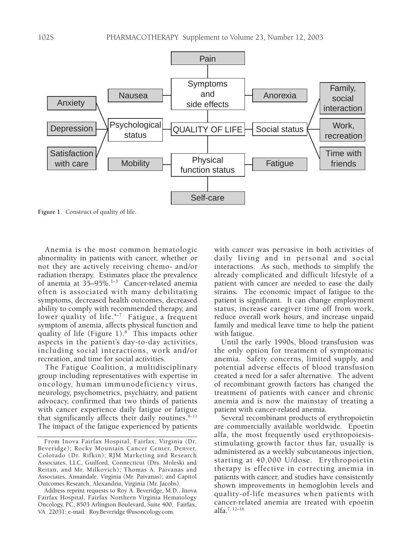

**Figure 1.** Construct of quality of life.

Anemia is the most common hematologic abnormality in patients with cancer, whether or not they are actively receiving chemo- and/or radiation therapy. Estimates place the prevalence of anemia at  $35-95\%$ .<sup>1-3</sup> Cancer-related anemia often is associated with many debilitating symptoms, decreased health outcomes, decreased ability to comply with recommended therapy, and lower quality of life.<sup>4-7</sup> Fatigue, a frequent symptom of anemia, affects physical function and quality of life (Figure 1).<sup>8</sup> This impacts other aspects in the patient's day-to-day activities, including social interactions, work and/or recreation, and time for social activities.

The Fatigue Coalition, a multidisciplinary group including representatives with expertise in oncology, human immunodeficiency virus, neurology, psychometrics, psychiatry, and patient advocacy, confirmed that two thirds of patients with cancer experience daily fatigue or fatigue that significantly affects their daily routines. $9-11$ The impact of the fatigue experienced by patients

Address reprint requests to Roy A. Beveridge, M.D., Inova Fairfax Hospital, Fairfax Northern Virginia Hematology Oncology, PC, 8503 Arlington Boulevard, Suite 400, Fairfax, VA 22031; e-mail: Roy.Beveridge @usoncology.com.

with cancer was pervasive in both activities of daily living and in personal and social interactions. As such, methods to simplify the already complicated and difficult lifestyle of a patient with cancer are needed to ease the daily strains. The economic impact of fatigue to the patient is significant. It can change employment status, increase caregiver time off from work, reduce overall work hours, and increase unpaid family and medical leave time to help the patient with fatigue.

Until the early 1990s, blood transfusion was the only option for treatment of symptomatic anemia. Safety concerns, limited supply, and potential adverse effects of blood transfusion created a need for a safer alternative. The advent of recombinant growth factors has changed the treatment of patients with cancer and chronic anemia and is now the mainstay of treating a patient with cancer-related anemia.

Several recombinant products of erythropoietin are commercially available worldwide. Epoetin alfa, the most frequently used erythropoiesisstimulating growth factor thus far, usually is administered as a weekly subcutaneous injection, starting at 40,000 U/dose. Erythropoietin therapy is effective in correcting anemia in patients with cancer, and studies have consistently shown improvements in hemoglobin levels and quality-of-life measures when patients with cancer-related anemia are treated with epoetin alfa.7, 12–16

From Inova Fairfax Hospital, Fairfax, Virginia (Dr. Beveridge); Rocky Mountain Cancer Center, Denver, Colorado (Dr. Rifkin); RJM Marketing and Research Associates, LLC, Guilford, Connecticut (Drs. Moleski and Reitan, and Mr. Milkovich); Thomas A. Paivanas and Associates, Annandale, Virginia (Mr. Paivanas); and Capitol Outcomes Research, Alexandria, Virginia (Mr. Jacobs).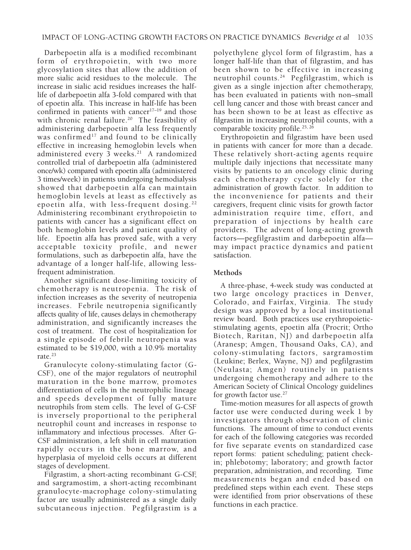Darbepoetin alfa is a modified recombinant form of erythropoietin, with two more glycosylation sites that allow the addition of more sialic acid residues to the molecule. The increase in sialic acid residues increases the halflife of darbepoetin alfa 3-fold compared with that of epoetin alfa. This increase in half-life has been confirmed in patients with cancer<sup>17-19</sup> and those with chronic renal failure.<sup>20</sup> The feasibility of administering darbepoetin alfa less frequently was confirmed<sup>17</sup> and found to be clinically effective in increasing hemoglobin levels when administered every 3 weeks.<sup>21</sup> A randomized controlled trial of darbepoetin alfa (administered once/wk) compared with epoetin alfa (administered 3 times/week) in patients undergoing hemodialysis showed that darbepoetin alfa can maintain hemoglobin levels at least as effectively as epoetin alfa, with less-frequent dosing.<sup>22</sup> Administering recombinant erythropoietin to patients with cancer has a significant effect on both hemoglobin levels and patient quality of life. Epoetin alfa has proved safe, with a very acceptable toxicity profile, and newer formulations, such as darbepoetin alfa, have the advantage of a longer half-life, allowing lessfrequent administration.

Another significant dose-limiting toxicity of chemotherapy is neutropenia. The risk of infection increases as the severity of neutropenia increases. Febrile neutropenia significantly affects quality of life, causes delays in chemotherapy administration, and significantly increases the cost of treatment. The cost of hospitalization for a single episode of febrile neutropenia was estimated to be \$19,000, with a 10.9% mortality rate.<sup>23</sup>

Granulocyte colony-stimulating factor (G-CSF), one of the major regulators of neutrophil maturation in the bone marrow, promotes differentiation of cells in the neutrophilic lineage and speeds development of fully mature neutrophils from stem cells. The level of G-CSF is inversely proportional to the peripheral neutrophil count and increases in response to inflammatory and infectious processes. After G-CSF administration, a left shift in cell maturation rapidly occurs in the bone marrow, and hyperplasia of myeloid cells occurs at different stages of development.

Filgrastim, a short-acting recombinant G-CSF, and sargramostim, a short-acting recombinant granulocyte-macrophage colony-stimulating factor are usually administered as a single daily subcutaneous injection. Pegfilgrastim is a

polyethylene glycol form of filgrastim, has a longer half-life than that of filgrastim, and has been shown to be effective in increasing neutrophil counts.24 Pegfilgrastim, which is given as a single injection after chemotherapy, has been evaluated in patients with non–small cell lung cancer and those with breast cancer and has been shown to be at least as effective as filgrastim in increasing neutrophil counts, with a comparable toxicity profile.<sup>25, 26</sup>

Erythropoietin and filgrastim have been used in patients with cancer for more than a decade. These relatively short-acting agents require multiple daily injections that necessitate many visits by patients to an oncology clinic during each chemotherapy cycle solely for the administration of growth factor. In addition to the inconvenience for patients and their caregivers, frequent clinic visits for growth factor administration require time, effort, and preparation of injections by health care providers. The advent of long-acting growth factors—pegfilgrastim and darbepoetin alfa may impact practice dynamics and patient satisfaction.

# **Methods**

A three-phase, 4-week study was conducted at two large oncology practices in Denver, Colorado, and Fairfax, Virginia. The study design was approved by a local institutional review board. Both practices use erythropoieticstimulating agents, epoetin alfa (Procrit; Ortho Biotech, Raritan, NJ) and darbepoetin alfa (Aranesp; Amgen, Thousand Oaks, CA), and colony-stimulating factors, sargramostim (Leukine; Berlex, Wayne, NJ) and pegfilgrastim (Neulasta; Amgen) routinely in patients undergoing chemotherapy and adhere to the American Society of Clinical Oncology guidelines for growth factor use.<sup>27</sup>

Time-motion measures for all aspects of growth factor use were conducted during week 1 by investigators through observation of clinic functions. The amount of time to conduct events for each of the following categories was recorded for five separate events on standardized case report forms: patient scheduling; patient checkin; phlebotomy; laboratory; and growth factor preparation, administration, and recording. Time measurements began and ended based on predefined steps within each event. These steps were identified from prior observations of these functions in each practice.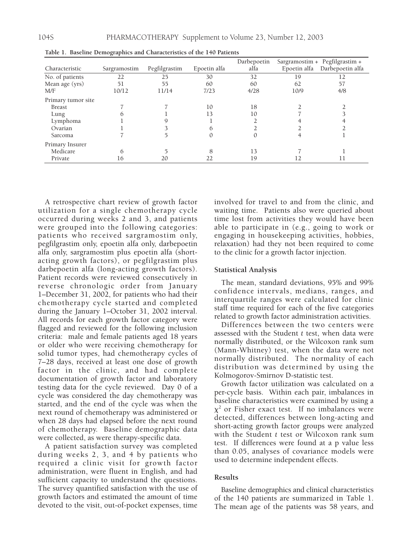| Characteristic     | Sargramostim | Pegfilgrastim | Epoetin alfa | Darbepoetin<br>alfa |      | Sargramostim + Pegfilgrastim +<br>Epoetin alfa Darbepoetin alfa |
|--------------------|--------------|---------------|--------------|---------------------|------|-----------------------------------------------------------------|
| No. of patients    | 22           | 25            | 30           | 32                  | 19   | 12                                                              |
| Mean age (yrs)     | 51           | 55            | 60           | 60                  | 62   | 57                                                              |
| M/F                | 10/12        | 11/14         | 7/23         | 4/28                | 10/9 | 4/8                                                             |
| Primary tumor site |              |               |              |                     |      |                                                                 |
| <b>Breast</b>      |              |               | 10           | 18                  |      |                                                                 |
| Lung               |              |               | 13           | 10                  |      |                                                                 |
| Lymphoma           |              |               |              |                     |      |                                                                 |
| Ovarian            |              |               |              |                     |      |                                                                 |
| Sarcoma            |              |               |              |                     |      |                                                                 |
| Primary Insurer    |              |               |              |                     |      |                                                                 |
| Medicare           | h            |               | 8            | 13                  |      |                                                                 |
| Private            | 16           | 20            | 22           | 19                  |      |                                                                 |

**Table 1. Baseline Demographics and Characteristics of the 140 Patients**

A retrospective chart review of growth factor utilization for a single chemotherapy cycle occurred during weeks 2 and 3, and patients were grouped into the following categories: patients who received sargramostim only, pegfilgrastim only, epoetin alfa only, darbepoetin alfa only, sargramostim plus epoetin alfa (shortacting growth factors), or pegfilgrastim plus darbepoetin alfa (long-acting growth factors). Patient records were reviewed consecutively in reverse chronologic order from January 1–December 31, 2002, for patients who had their chemotherapy cycle started and completed during the January 1–October 31, 2002 interval. All records for each growth factor category were flagged and reviewed for the following inclusion criteria: male and female patients aged 18 years or older who were receiving chemotherapy for solid tumor types, had chemotherapy cycles of 7–28 days, received at least one dose of growth factor in the clinic, and had complete documentation of growth factor and laboratory testing data for the cycle reviewed. Day 0 of a cycle was considered the day chemotherapy was started, and the end of the cycle was when the next round of chemotherapy was administered or when 28 days had elapsed before the next round of chemotherapy. Baseline demographic data were collected, as were therapy-specific data.

A patient satisfaction survey was completed during weeks 2, 3, and 4 by patients who required a clinic visit for growth factor administration, were fluent in English, and had sufficient capacity to understand the questions. The survey quantified satisfaction with the use of growth factors and estimated the amount of time devoted to the visit, out-of-pocket expenses, time

involved for travel to and from the clinic, and waiting time. Patients also were queried about time lost from activities they would have been able to participate in (e.g., going to work or engaging in housekeeping activities, hobbies, relaxation) had they not been required to come to the clinic for a growth factor injection.

#### **Statistical Analysis**

The mean, standard deviations, 95% and 99% confidence intervals, medians, ranges, and interquartile ranges were calculated for clinic staff time required for each of the five categories related to growth factor administration activities.

Differences between the two centers were assessed with the Student *t* test, when data were normally distributed, or the Wilcoxon rank sum (Mann-Whitney) test, when the data were not normally distributed. The normality of each distribution was determined by using the Kolmogorov-Smirnov D-statistic test.

Growth factor utilization was calculated on a per-cycle basis. Within each pair, imbalances in baseline characteristics were examined by using a  $\chi^2$  or Fisher exact test. If no imbalances were detected, differences between long-acting and short-acting growth factor groups were analyzed with the Student *t* test or Wilcoxon rank sum test. If differences were found at a p value less than 0.05, analyses of covariance models were used to determine independent effects.

### **Results**

Baseline demographics and clinical characteristics of the 140 patients are summarized in Table 1. The mean age of the patients was 58 years, and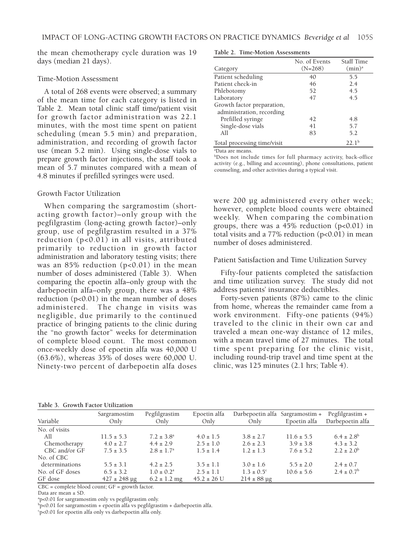the mean chemotherapy cycle duration was 19 days (median 21 days).

### Time-Motion Assessment

A total of 268 events were observed; a summary of the mean time for each category is listed in Table 2. Mean total clinic staff time/patient visit for growth factor administration was 22.1 minutes, with the most time spent on patient scheduling (mean 5.5 min) and preparation, administration, and recording of growth factor use (mean 5.2 min). Using single-dose vials to prepare growth factor injections, the staff took a mean of 5.7 minutes compared with a mean of 4.8 minutes if prefilled syringes were used.

## Growth Factor Utilization

When comparing the sargramostim (shortacting growth factor)–only group with the pegfilgrastim (long-acting growth factor)–only group, use of pegfilgrastim resulted in a 37% reduction (p<0.01) in all visits, attributed primarily to reduction in growth factor administration and laboratory testing visits; there was an  $85\%$  reduction ( $p<0.01$ ) in the mean number of doses administered (Table 3). When comparing the epoetin alfa–only group with the darbepoetin alfa–only group, there was a 48% reduction (p<0.01) in the mean number of doses administered. The change in visits was negligible, due primarily to the continued practice of bringing patients to the clinic during the "no growth factor" weeks for determination of complete blood count. The most common once-weekly dose of epoetin alfa was 40,000 U (63.6%), whereas 35% of doses were 60,000 U. Ninety-two percent of darbepoetin alfa doses

#### **Table 2. Time-Motion Assessments**

|                             | No. of Events | <b>Staff Time</b> |
|-----------------------------|---------------|-------------------|
| Category                    | $(N=268)$     | $(min)^a$         |
| Patient scheduling          | 40            | 5.5               |
| Patient check-in            | 46            | 2.4               |
| Phlebotomy                  | 52            | 4.5               |
| Laboratory                  | 47            | 4.5               |
| Growth factor preparation,  |               |                   |
| administration, recording   |               |                   |
| Prefilled syringe           | 42            | 4.8               |
| Single-dose vials           | 41            | 5.7               |
| All                         | 83            | 5.2               |
| Total processing time/visit |               | 22.1 <sup>b</sup> |

a Data are means.

b Does not include times for full pharmacy activity, back-office activity (e.g., billing and accounting), phone consultations, patient counseling, and other activities during a typical visit.

were 200 µg administered every other week; however, complete blood counts were obtained weekly. When comparing the combination groups, there was a  $45\%$  reduction ( $p<0.01$ ) in total visits and a  $77\%$  reduction ( $p<0.01$ ) in mean number of doses administered.

# Patient Satisfaction and Time Utilization Survey

Fifty-four patients completed the satisfaction and time utilization survey. The study did not address patients' insurance deductibles.

Forty-seven patients (87%) came to the clinic from home, whereas the remainder came from a work environment. Fifty-one patients (94%) traveled to the clinic in their own car and traveled a mean one-way distance of 12 miles, with a mean travel time of 27 minutes. The total time spent preparing for the clinic visit, including round-trip travel and time spent at the clinic, was 125 minutes (2.1 hrs; Table 4).

|  | Table 3.  Growth Factor Utilization |  |  |
|--|-------------------------------------|--|--|
|  |                                     |  |  |

| Variable        | Sargramostim<br>Only  | Pegfilgrastim<br>Only    | Epoetin alfa<br>Only | Darbepoetin alfa Sargramostim +<br>Only | Epoetin alfa   | Pegfilgrastim +<br>Darbepoetin alfa |
|-----------------|-----------------------|--------------------------|----------------------|-----------------------------------------|----------------|-------------------------------------|
| No. of visits   |                       |                          |                      |                                         |                |                                     |
| All             | $11.5 \pm 5.3$        | $7.2 \pm 3.8^{\text{a}}$ | $4.0 \pm 1.5$        | $3.8 \pm 2.7$                           | $11.6 \pm 5.5$ | $6.4 \pm 2.8^{\rm b}$               |
| Chemotherapy    | $4.0 \pm 2.7$         | $4.4 \pm 2.9$            | $2.5 \pm 1.0$        | $2.6 \pm 2.3$                           | $3.9 \pm 3.8$  | $4.3 \pm 3.2$                       |
| CBC and/or GF   | $7.5 \pm 3.5$         | $2.8 \pm 1.7^{\circ}$    | $1.5 \pm 1.4$        | $1.2 \pm 1.3$                           | $7.6 \pm 5.2$  | $2.2 \pm 2.0^{\rm b}$               |
| No. of CBC      |                       |                          |                      |                                         |                |                                     |
| determinations  | $5.5 \pm 3.1$         | $4.2 \pm 2.5$            | $3.5 \pm 1.1$        | $3.0 \pm 1.6$                           | $5.5 \pm 2.0$  | $2.4 \pm 0.7$                       |
| No. of GF doses | $6.5 \pm 3.2$         | $1.0 \pm 0.2^a$          | $2.5 \pm 1.1$        | $1.3 \pm 0.5$ <sup>c</sup>              | $10.6 \pm 5.6$ | $2.4 \pm 0.7^{\rm b}$               |
| GF dose         | $427 \pm 248 \,\mu g$ | $6.2 \pm 1.2$ mg         | $45.2 \pm 26$ U      | $214 \pm 88 \text{ µg}$                 |                |                                     |

CBC = complete blood count; GF = growth factor.

Data are mean ± SD.

a p<0.01 for sargramostim only vs pegfilgrastim only.

b p<0.01 for sargramostim + epoetin alfa vs pegfilgrastim + darbepoetin alfa.

c p<0.01 for epoetin alfa only vs darbepoetin alfa only.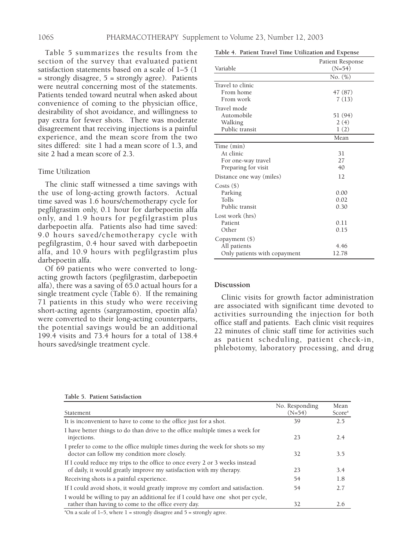Table 5 summarizes the results from the section of the survey that evaluated patient satisfaction statements based on a scale of 1–5 (1  $=$  strongly disagree,  $5 =$  strongly agree). Patients were neutral concerning most of the statements. Patients tended toward neutral when asked about convenience of coming to the physician office, desirability of shot avoidance, and willingness to pay extra for fewer shots. There was moderate disagreement that receiving injections is a painful experience, and the mean score from the two sites differed: site 1 had a mean score of 1.3, and site 2 had a mean score of 2.3.

## Time Utilization

The clinic staff witnessed a time savings with the use of long-acting growth factors. Actual time saved was 1.6 hours/chemotherapy cycle for pegfilgrastim only, 0.1 hour for darbepoetin alfa only, and 1.9 hours for pegfilgrastim plus darbepoetin alfa. Patients also had time saved: 9.0 hours saved/chemotherapy cycle with pegfilgrastim, 0.4 hour saved with darbepoetin alfa, and 10.9 hours with pegfilgrastim plus darbepoetin alfa.

Of 69 patients who were converted to longacting growth factors (pegfilgrastim, darbepoetin alfa), there was a saving of 65.0 actual hours for a single treatment cycle (Table 6). If the remaining 71 patients in this study who were receiving short-acting agents (sargramostim, epoetin alfa) were converted to their long-acting counterparts, the potential savings would be an additional 199.4 visits and 73.4 hours for a total of 138.4 hours saved/single treatment cycle.

| Table 4. Patient Travel Time Utilization and Expense                 |                                     |  |  |  |
|----------------------------------------------------------------------|-------------------------------------|--|--|--|
| Variable                                                             | <b>Patient Response</b><br>$(N=54)$ |  |  |  |
|                                                                      | No. (%)                             |  |  |  |
| Travel to clinic<br>From home<br>From work                           | 47 (87)<br>7(13)                    |  |  |  |
| Travel mode<br>Automobile<br>Walking<br>Public transit               | 51 (94)<br>2(4)<br>1(2)             |  |  |  |
|                                                                      | Mean                                |  |  |  |
| Time (min)<br>At clinic<br>For one-way travel<br>Preparing for visit | 31<br>27<br>40                      |  |  |  |
| Distance one way (miles)                                             | 12                                  |  |  |  |
| $Costs($ \$)<br>Parking<br>Tolls<br>Public transit                   | 0.00<br>0.02<br>0.30                |  |  |  |
| Lost work (hrs)<br>Patient<br>Other                                  | 0.11<br>0.15                        |  |  |  |
| Copayment (\$)<br>All patients<br>Only patients with copayment       | 4.46<br>12.78                       |  |  |  |

#### **Discussion**

Clinic visits for growth factor administration are associated with significant time devoted to activities surrounding the injection for both office staff and patients. Each clinic visit requires 22 minutes of clinic staff time for activities such as patient scheduling, patient check-in, phlebotomy, laboratory processing, and drug

| Statement                                                                                                                                          | No. Responding<br>$(N=54)$ | Mean<br>Score <sup>a</sup> |
|----------------------------------------------------------------------------------------------------------------------------------------------------|----------------------------|----------------------------|
| It is inconvenient to have to come to the office just for a shot.                                                                                  | 39                         | 2.5                        |
| I have better things to do than drive to the office multiple times a week for<br>injections.                                                       | 23                         | 2.4                        |
| I prefer to come to the office multiple times during the week for shots so my<br>doctor can follow my condition more closely.                      | 32                         | 3.5                        |
| If I could reduce my trips to the office to once every 2 or 3 weeks instead<br>of daily, it would greatly improve my satisfaction with my therapy. | 23                         | 3.4                        |
| Receiving shots is a painful experience.                                                                                                           | 54                         | 1.8                        |
| If I could avoid shots, it would greatly improve my comfort and satisfaction.                                                                      | 54                         | 2.7                        |
| I would be willing to pay an additional fee if I could have one shot per cycle,<br>rather than having to come to the office every day.             | 32                         | 2.6                        |

#### a On a scale of 1–5, where 1 = strongly disagree and 5 = strongly agree.

#### **Table 5. Patient Satisfaction**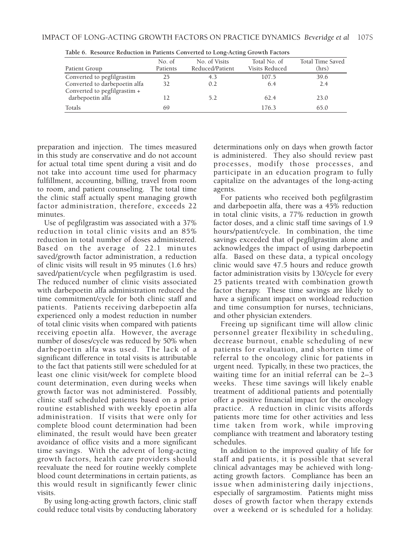|                               | No. of   | No. of Visits   | Total No. of   | Total Time Saved |
|-------------------------------|----------|-----------------|----------------|------------------|
| Patient Group                 | Patients | Reduced/Patient | Visits Reduced | (hrs)            |
| Converted to pegfilgrastim    | 25       | 4.3             | 107.5          | 39.6             |
| Converted to darbepoetin alfa | 32       | 0.2             | 6.4            | 2.4              |
| Converted to pegfilgrastim +  |          |                 |                |                  |
| darbepoetin alfa              |          | 5.2             | 62.4           | 23.0             |
| Totals                        | 69       |                 | 176.3          | 65.0             |

**Table 6. Resource Reduction in Patients Converted to Long-Acting Growth Factors**

preparation and injection. The times measured in this study are conservative and do not account for actual total time spent during a visit and do not take into account time used for pharmacy fulfillment, accounting, billing, travel from room to room, and patient counseling. The total time the clinic staff actually spent managing growth factor administration, therefore, exceeds 22 minutes.

Use of pegfilgrastim was associated with a 37% reduction in total clinic visits and an 85% reduction in total number of doses administered. Based on the average of 22.1 minutes saved/growth factor administration, a reduction of clinic visits will result in 95 minutes (1.6 hrs) saved/patient/cycle when pegfilgrastim is used. The reduced number of clinic visits associated with darbepoetin alfa administration reduced the time commitment/cycle for both clinic staff and patients. Patients receiving darbepoetin alfa experienced only a modest reduction in number of total clinic visits when compared with patients receiving epoetin alfa. However, the average number of doses/cycle was reduced by 50% when darbepoetin alfa was used. The lack of a significant difference in total visits is attributable to the fact that patients still were scheduled for at least one clinic visit/week for complete blood count determination, even during weeks when growth factor was not administered. Possibly, clinic staff scheduled patients based on a prior routine established with weekly epoetin alfa administration. If visits that were only for complete blood count determination had been eliminated, the result would have been greater avoidance of office visits and a more significant time savings. With the advent of long-acting growth factors, health care providers should reevaluate the need for routine weekly complete blood count determinations in certain patients, as this would result in significantly fewer clinic visits.

By using long-acting growth factors, clinic staff could reduce total visits by conducting laboratory determinations only on days when growth factor is administered. They also should review past processes, modify those processes, and participate in an education program to fully capitalize on the advantages of the long-acting agents.

For patients who received both pegfilgrastim and darbepoetin alfa, there was a 45% reduction in total clinic visits, a 77% reduction in growth factor doses, and a clinic staff time savings of 1.9 hours/patient/cycle. In combination, the time savings exceeded that of pegfilgrastim alone and acknowledges the impact of using darbepoetin alfa. Based on these data, a typical oncology clinic would save 47.5 hours and reduce growth factor administration visits by 130/cycle for every 25 patients treated with combination growth factor therapy. These time savings are likely to have a significant impact on workload reduction and time consumption for nurses, technicians, and other physician extenders.

Freeing up significant time will allow clinic personnel greater flexibility in scheduling, decrease burnout, enable scheduling of new patients for evaluation, and shorten time of referral to the oncology clinic for patients in urgent need. Typically, in these two practices, the waiting time for an initial referral can be 2–3 weeks. These time savings will likely enable treatment of additional patients and potentially offer a positive financial impact for the oncology practice. A reduction in clinic visits affords patients more time for other activities and less time taken from work, while improving compliance with treatment and laboratory testing schedules.

In addition to the improved quality of life for staff and patients, it is possible that several clinical advantages may be achieved with longacting growth factors. Compliance has been an issue when administering daily injections, especially of sargramostim. Patients might miss doses of growth factor when therapy extends over a weekend or is scheduled for a holiday.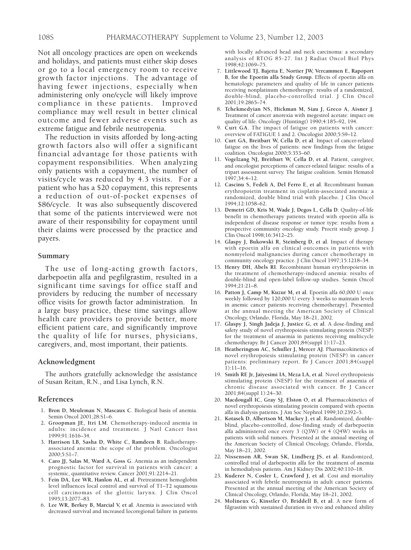Not all oncology practices are open on weekends and holidays, and patients must either skip doses or go to a local emergency room to receive growth factor injections. The advantage of having fewer injections, especially when administering only one/cycle will likely improve compliance in these patients. Improved compliance may well result in better clinical outcome and fewer adverse events such as extreme fatigue and febrile neutropenia.

The reduction in visits afforded by long-acting growth factors also will offer a significant financial advantage for those patients with copayment responsibilities. When analyzing only patients with a copayment, the number of visits/cycle was reduced by 4.3 visits. For a patient who has a \$20 copayment, this represents a reduction of out-of-pocket expenses of \$86/cycle. It was also subsequently discovered that some of the patients interviewed were not aware of their responsibility for copayment until their claims were processed by the practice and payers.

#### **Summary**

The use of long-acting growth factors, darbepoetin alfa and pegfilgrastim, resulted in a significant time savings for office staff and providers by reducing the number of necessary office visits for growth factor administration. In a large busy practice, these time savings allow health care providers to provide better, more efficient patient care, and significantly improve the quality of life for nurses, physicians, caregivers, and, most important, their patients.

#### **Acknowledgment**

The authors gratefully acknowledge the assistance of Susan Reitan, R.N., and Lisa Lynch, R.N.

### **References**

- 1**. Bron D, Meuleman N, Mascaux C**. Biological basis of anemia. Semin Oncol 2001;28:S1–6.
- 2**. Groopman JE, Itri LM**. Chemotherapy-induced anemia in adults: incidence and treatment. J Natl Cancer Inst 1999;91:1616–34.
- 3**. Harrison LB, Sasha D, White C, Ramdeen B**. Radiotherapyassociated anemia: the scope of the problem. Oncologist 2000;5:S1–7.
- 4**. Caro JJ, Salas M, Ward A, Goss G**. Anemia as an independent prognostic factor for survival in patients with cancer: a systemic, quantitative review. Cancer 2001;91:2214–21.
- 5**. Fein DA, Lee WR, Hanlon AL, et al**. Pretreatment hemoglobin level influences local control and survival of T1–T2 squamous cell carcinomas of the glottic larynx. J Clin Oncol 1995;13:2077–83.
- 6**. Lee WR, Berkey B, Marcial V, et al**. Anemia is associated with decreased survival and increased locoregional failure in patients

with locally advanced head and neck carcinoma: a secondary analysis of RTOG 85-27. Int J Radiat Oncol Biol Phys 1998;42:1069–75.

- 7**. Littlewood TJ, Bajetta E, Nortier JW, Vercammen E, Rapoport B, for the Epoetin alfa Study Group**. Effects of epoetin alfa on hematologic parameters and quality of life in cancer patients receiving nonplatinum chemotherapy: results of a randomized, double-blind, placebo-controlled trial. J Clin Oncol 2001;19:2865–74.
- 8**. Tchekmedyian NS, Hickman M, Siau J, Greco A, Aisner J**. Treatment of cancer anorexia with megestrol acetate: impact on quality of life. Oncology (Huntingt) 1990;4:185–92, 194.
- 9**. Curt GA**. The impact of fatigue on patients with cancer: overview of FATIGUE 1 and 2. Oncologist 2000;5:S9–12.
- 10**. Curt GA, Breitbart W, Cella D, et al**. Impact of cancer-related fatigue on the lives of patients: new findings from the fatigue coalition. Oncologist 2000;5:353–60.
- 11**. Vogelzang NJ, Breitbart W, Cella D, et al**. Patient, caregiver, and oncologist perceptions of cancer-related fatigue: results of a tripart assessment survey. The fatigue coalition. Semin Hematol 1997;34:4–12.
- 12**. Cascinu S, Fedeli A, Del Ferro E, et al**. Recombinant human erythropoietin treatment in cisplatin-associated anemia: a randomized, double blind trial with placebo. J Clin Oncol 1994;12:1058–62.
- 13**. Demetri GD, Kris M, Wade J, Degos L, Cella D**. Quality-of-life benefit in chemotherapy patients treated with epoetin alfa is independent of disease response or tumor type: results from a prospective community oncology study. Procrit study group. J Clin Oncol 1998;16:3412–25.
- 14**. Glaspy J, Bukowski R, Steinberg D, et al**. Impact of therapy with epoetin alfa on clinical outcomes in patients with nonmyeloid malignancies during cancer chemotherapy in community oncology practice. J Clin Oncol 1997;15:1218–34.
- 15**. Henry DH, Abels RI**. Recombinant human erythropoietin in the treatment of chemotherapy-induced anemia: results of double-blind and open-label follow-up studies. Semin Oncol 1994;21:21–8.
- 16**. Patton J, Camp M, Kuzur M, et al**. Epoetin alfa 60,000 U once weekly followed by 120,000 U every 3 weeks to maintain levels in anemic cancer patients receiving chemotherapy]. Presented at the annual meeting the American Society of Clinical Oncology, Orlando, Florida, May 18–21, 2002.
- 17**. Glaspy J, Singh Jadeja J, Justice G, et al**. A dose-finding and safety study of novel erythropoiesis stimulating protein (NESP) for the treatment of anaemia in patients receiving multicycle chemotherapy. Br J Cancer 2001;84(suppl 1):17–23.
- 18**. Heatherington AC, Schuller J, Mercer AJ**. Pharmacokinetics of novel erythropoiesis stimulating protein (NESP) in cancer patients: preliminary report. Br J Cancer 2001;84(suppl 1):11–16.
- 19**. Smith RE Jr, Jaiyesimi IA, Meza LA, et al**. Novel erythropoiesis stimulating protein (NESP) for the treatment of anaemia of chronic disease associated with cancer. Br J Cancer 2001;84(suppl 1):24–30.
- 20**. Macdougall IC, Gray SJ, Elston O, et al**. Pharmacokinetics of novel erythropoiesis stimulating protein compared with epoetin alfa in dialysis patients. J Am Soc Nephrol 1999;10:2392–5.
- 21**. Kotasek D, Albertson M, Mackey J, et al**. Randomized, doubleblind, placebo-controlled, dose-finding study of darbepoetin alfa administered once every 3 (Q3W) or 4 (Q4W) weeks in patients with solid tumors. Presented at the annual meeting of the American Society of Clinical Oncology, Orlando, Florida, May 18–21, 2002.
- 22**. Nissenson AR, Swan SK, Lindberg JS, et al**. Randomized, controlled trial of darbepoetin alfa for the treatment of anemia in hemodialysis patients. Am J Kidney Dis 2002;40:110–18.
- 23**. Kuderer N, Cosler L, Crawford J, et al**. Cost and mortality associated with febrile neutropenia in adult cancer patients. Presented at the annual meeting of the American Society of Clinical Oncology, Orlando, Florida, May 18–21, 2002.
- 24**. Molineux G, Kinstler O, Briddell B, et al**. A new form of filgrastim with sustained duration in vivo and enhanced ability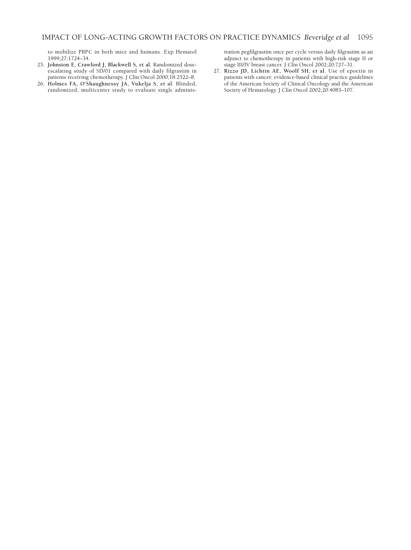to mobilize PBPC in both mice and humans. Exp Hematol 1999;27:1724–34.

- 25**. Johnston E, Crawford J, Blackwell S, et al**. Randomized doseescalating study of SD/01 compared with daily filgrastim in patients receiving chemotherapy. J Clin Oncol 2000;18:2522–8.
- 26**. Holmes FA, O'Shaughnessy JA, Vukelja S, et al**. Blinded, randomized, multicenter study to evaluate single adminis-

tration pegfilgrastim once per cycle versus daily filgrastim as an adjunct to chemotherapy in patients with high-risk stage II or stage III/IV breast cancer. J Clin Oncol 2002;20:727–31.

27**. Rizzo JD, Lichtin AE, Woolf SH, et al**. Use of epoetin in patients with cancer: evidence-based clinical practice guidelines of the American Society of Clinical Oncology and the American Society of Hematology. J Clin Oncol 2002;20:4083–107.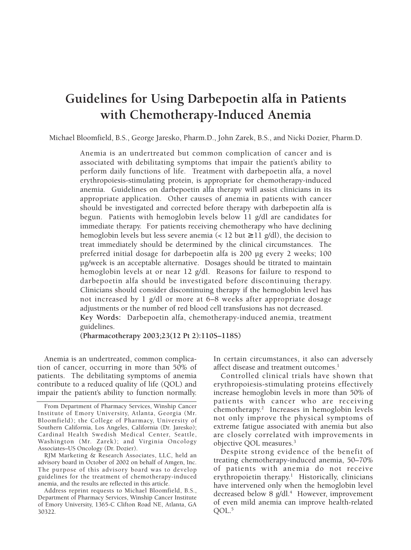# **Guidelines for Using Darbepoetin alfa in Patients with Chemotherapy-Induced Anemia**

Michael Bloomfield, B.S., George Jaresko, Pharm.D., John Zarek, B.S., and Nicki Dozier, Pharm.D.

Anemia is an undertreated but common complication of cancer and is associated with debilitating symptoms that impair the patient's ability to perform daily functions of life. Treatment with darbepoetin alfa, a novel erythropoiesis-stimulating protein, is appropriate for chemotherapy-induced anemia. Guidelines on darbepoetin alfa therapy will assist clinicians in its appropriate application. Other causes of anemia in patients with cancer should be investigated and corrected before therapy with darbepoetin alfa is begun. Patients with hemoglobin levels below 11 g/dl are candidates for immediate therapy. For patients receiving chemotherapy who have declining hemoglobin levels but less severe anemia (< 12 but  $\geq$  11 g/dl), the decision to treat immediately should be determined by the clinical circumstances. The preferred initial dosage for darbepoetin alfa is 200 µg every 2 weeks; 100 µg/week is an acceptable alternative. Dosages should be titrated to maintain hemoglobin levels at or near 12 g/dl. Reasons for failure to respond to darbepoetin alfa should be investigated before discontinuing therapy. Clinicians should consider discontinuing therapy if the hemoglobin level has not increased by 1 g/dl or more at 6–8 weeks after appropriate dosage adjustments or the number of red blood cell transfusions has not decreased. **Key Words:** Darbepoetin alfa, chemotherapy-induced anemia, treatment guidelines.

**(Pharmacotherapy 2003;23(12 Pt 2):110S–118S)**

Anemia is an undertreated, common complication of cancer, occurring in more than 50% of patients. The debilitating symptoms of anemia contribute to a reduced quality of life (QOL) and impair the patient's ability to function normally.

RJM Marketing & Research Associates, LLC, held an advisory board in October of 2002 on behalf of Amgen, Inc. The purpose of this advisory board was to develop guidelines for the treatment of chemotherapy-induced anemia, and the results are reflected in this article.

Address reprint requests to Michael Bloomfield, B.S., Department of Pharmacy Services, Winship Cancer Institute of Emory University, 1365-C Clifton Road NE, Atlanta, GA 30322.

In certain circumstances, it also can adversely affect disease and treatment outcomes.<sup>1</sup>

Controlled clinical trials have shown that erythropoiesis-stimulating proteins effectively increase hemoglobin levels in more than 50% of patients with cancer who are receiving chemotherapy.<sup>2</sup> Increases in hemoglobin levels not only improve the physical symptoms of extreme fatigue associated with anemia but also are closely correlated with improvements in objective QOL measures.3

Despite strong evidence of the benefit of treating chemotherapy-induced anemia, 50–70% of patients with anemia do not receive erythropoietin therapy.<sup>1</sup> Historically, clinicians have intervened only when the hemoglobin level decreased below 8  $g/dl$ .<sup>4</sup> However, improvement of even mild anemia can improve health-related QOL.5

From Department of Pharmacy Services, Winship Cancer Institute of Emory University, Atlanta, Georgia (Mr. Bloomfield); the College of Pharmacy, University of Southern California, Los Angeles, California (Dr. Jaresko); Cardinal Health Swedish Medical Center, Seattle, Washington (Mr. Zarek); and Virginia Oncology Associates–US Oncology (Dr. Dozier).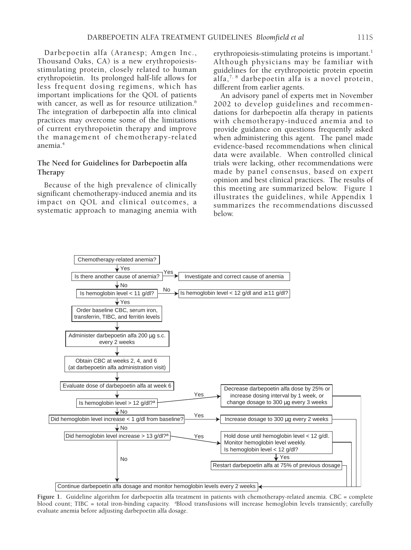Darbepoetin alfa (Aranesp; Amgen Inc., Thousand Oaks, CA) is a new erythropoiesisstimulating protein, closely related to human erythropoietin. Its prolonged half-life allows for less frequent dosing regimens, which has important implications for the QOL of patients with cancer, as well as for resource utilization.<sup>6</sup> The integration of darbepoetin alfa into clinical practices may overcome some of the limitations of current erythropoietin therapy and improve the management of chemotherapy-related anemia.4

# **The Need for Guidelines for Darbepoetin alfa Therapy**

Because of the high prevalence of clinically significant chemotherapy-induced anemia and its impact on QOL and clinical outcomes, a systematic approach to managing anemia with erythropoiesis-stimulating proteins is important.<sup>1</sup> Although physicians may be familiar with guidelines for the erythropoietic protein epoetin alfa,<sup>7, 8</sup> darbepoetin alfa is a novel protein, different from earlier agents.

An advisory panel of experts met in November 2002 to develop guidelines and recommendations for darbepoetin alfa therapy in patients with chemotherapy-induced anemia and to provide guidance on questions frequently asked when administering this agent. The panel made evidence-based recommendations when clinical data were available. When controlled clinical trials were lacking, other recommendations were made by panel consensus, based on expert opinion and best clinical practices. The results of this meeting are summarized below. Figure 1 illustrates the guidelines, while Appendix 1 summarizes the recommendations discussed below.



Figure 1. Guideline algorithm for darbepoetin alfa treatment in patients with chemotherapy-related anemia. CBC = complete blood count; TIBC = total iron-binding capacity. <sup>a</sup>Blood transfusions will increase hemoglobin levels transiently; carefully evaluate anemia before adjusting darbepoetin alfa dosage.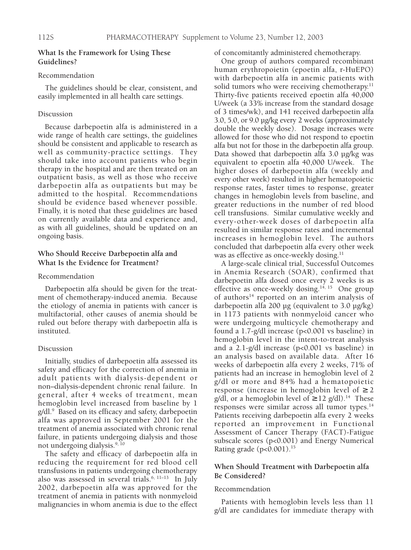# **What Is the Framework for Using These Guidelines?**

### Recommendation

The guidelines should be clear, consistent, and easily implemented in all health care settings.

### Discussion

Because darbepoetin alfa is administered in a wide range of health care settings, the guidelines should be consistent and applicable to research as well as community-practice settings. They should take into account patients who begin therapy in the hospital and are then treated on an outpatient basis, as well as those who receive darbepoetin alfa as outpatients but may be admitted to the hospital. Recommendations should be evidence based whenever possible. Finally, it is noted that these guidelines are based on currently available data and experience and, as with all guidelines, should be updated on an ongoing basis.

# **Who Should Receive Darbepoetin alfa and What Is the Evidence for Treatment?**

### Recommendation

Darbepoetin alfa should be given for the treatment of chemotherapy-induced anemia. Because the etiology of anemia in patients with cancer is multifactorial, other causes of anemia should be ruled out before therapy with darbepoetin alfa is instituted.

#### Discussion

Initially, studies of darbepoetin alfa assessed its safety and efficacy for the correction of anemia in adult patients with dialysis-dependent or non–dialysis-dependent chronic renal failure. In general, after 4 weeks of treatment, mean hemoglobin level increased from baseline by 1  $g/dl.^9$  Based on its efficacy and safety, darbepoetin alfa was approved in September 2001 for the treatment of anemia associated with chronic renal failure, in patients undergoing dialysis and those not undergoing dialysis.<sup>9, 10</sup>

The safety and efficacy of darbepoetin alfa in reducing the requirement for red blood cell transfusions in patients undergoing chemotherapy also was assessed in several trials.<sup>6, 11-13</sup> In July 2002, darbepoetin alfa was approved for the treatment of anemia in patients with nonmyeloid malignancies in whom anemia is due to the effect of concomitantly administered chemotherapy.

One group of authors compared recombinant human erythropoietin (epoetin alfa, r-HuEPO) with darbepoetin alfa in anemic patients with solid tumors who were receiving chemotherapy.<sup>11</sup> Thirty-five patients received epoetin alfa 40,000 U/week (a 33% increase from the standard dosage of 3 times/wk), and 141 received darbepoetin alfa 3.0, 5.0, or 9.0 µg/kg every 2 weeks (approximately double the weekly dose). Dosage increases were allowed for those who did not respond to epoetin alfa but not for those in the darbepoetin alfa group. Data showed that darbepoetin alfa 3.0 µg/kg was equivalent to epoetin alfa 40,000 U/week. The higher doses of darbepoetin alfa (weekly and every other week) resulted in higher hematopoietic response rates, faster times to response, greater changes in hemoglobin levels from baseline, and greater reductions in the number of red blood cell transfusions. Similar cumulative weekly and every-other-week doses of darbepoetin alfa resulted in similar response rates and incremental increases in hemoglobin level. The authors concluded that darbepoetin alfa every other week was as effective as once-weekly dosing.<sup>11</sup>

A large-scale clinical trial, Successful Outcomes in Anemia Research (SOAR), confirmed that darbepoetin alfa dosed once every 2 weeks is as effective as once-weekly dosing.<sup>14, 15</sup> One group of authors<sup>14</sup> reported on an interim analysis of darbepoetin alfa 200 µg (equivalent to 3.0 µg/kg) in 1173 patients with nonmyeloid cancer who were undergoing multicycle chemotherapy and found a 1.7-g/dl increase (p<0.001 vs baseline) in hemoglobin level in the intent-to-treat analysis and a 2.1-g/dl increase (p<0.001 vs baseline) in an analysis based on available data. After 16 weeks of darbepoetin alfa every 2 weeks, 71% of patients had an increase in hemoglobin level of 2 g/dl or more and 84% had a hematopoietic response (increase in hemoglobin level of  $\geq 2$ g/dl, or a hemoglobin level of  $\geq 12$  g/dl).<sup>14</sup> These responses were similar across all tumor types.14 Patients receiving darbepoetin alfa every 2 weeks reported an improvement in Functional Assessment of Cancer Therapy (FACT)-Fatigue subscale scores (p<0.001) and Energy Numerical Rating grade  $(p<0.001).^{15}$ 

# **When Should Treatment with Darbepoetin alfa Be Considered?**

#### Recommendation

Patients with hemoglobin levels less than 11 g/dl are candidates for immediate therapy with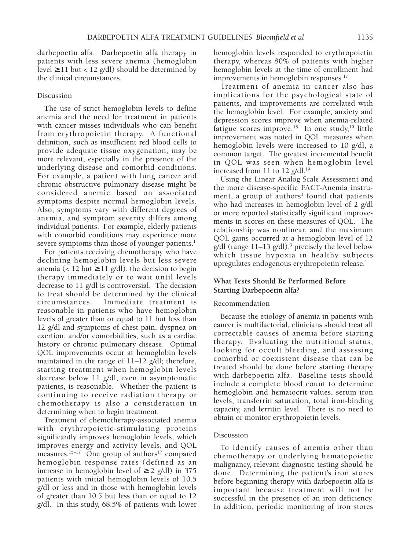darbepoetin alfa. Darbepoetin alfa therapy in patients with less severe anemia (hemoglobin level  $\geq$  11 but < 12 g/dl) should be determined by the clinical circumstances.

## Discussion

The use of strict hemoglobin levels to define anemia and the need for treatment in patients with cancer misses individuals who can benefit from erythropoietin therapy. A functional definition, such as insufficient red blood cells to provide adequate tissue oxygenation, may be more relevant, especially in the presence of the underlying disease and comorbid conditions. For example, a patient with lung cancer and chronic obstructive pulmonary disease might be considered anemic based on associated symptoms despite normal hemoglobin levels. Also, symptoms vary with different degrees of anemia, and symptom severity differs among individual patients. For example, elderly patients with comorbid conditions may experience more severe symptoms than those of younger patients.<sup>1</sup>

For patients receiving chemotherapy who have declining hemoglobin levels but less severe anemia (< 12 but  $\geq$  11 g/dl), the decision to begin therapy immediately or to wait until levels decrease to 11 g/dl is controversial. The decision to treat should be determined by the clinical circumstances. Immediate treatment is reasonable in patients who have hemoglobin levels of greater than or equal to 11 but less than 12 g/dl and symptoms of chest pain, dyspnea on exertion, and/or comorbidities, such as a cardiac history or chronic pulmonary disease. Optimal QOL improvements occur at hemoglobin levels maintained in the range of 11–12 g/dl; therefore, starting treatment when hemoglobin levels decrease below 11 g/dl, even in asymptomatic patients, is reasonable. Whether the patient is continuing to receive radiation therapy or chemotherapy is also a consideration in determining when to begin treatment.

Treatment of chemotherapy-associated anemia with erythropoietic-stimulating proteins significantly improves hemoglobin levels, which improves energy and activity levels, and QOL measures.<sup>15-17</sup> One group of authors<sup>17</sup> compared hemoglobin response rates (defined as an increase in hemoglobin level of  $\geq 2$  g/dl) in 375 patients with initial hemoglobin levels of 10.5 g/dl or less and in those with hemoglobin levels of greater than 10.5 but less than or equal to 12 g/dl. In this study, 68.5% of patients with lower hemoglobin levels responded to erythropoietin therapy, whereas 80% of patients with higher hemoglobin levels at the time of enrollment had improvements in hemoglobin responses.<sup>17</sup>

Treatment of anemia in cancer also has implications for the psychological state of patients, and improvements are correlated with the hemoglobin level. For example, anxiety and depression scores improve when anemia-related fatigue scores improve.<sup>18</sup> In one study,<sup>19</sup> little improvement was noted in QOL measures when hemoglobin levels were increased to 10 g/dl, a common target. The greatest incremental benefit in QOL was seen when hemoglobin level increased from 11 to 12  $g/dl$ .<sup>19</sup>

Using the Linear Analog Scale Assessment and the more disease-specific FACT-Anemia instrument, a group of authors<sup>3</sup> found that patients who had increases in hemoglobin level of 2 g/dl or more reported statistically significant improvements in scores on these measures of QOL. The relationship was nonlinear, and the maximum QOL gains occurred at a hemoglobin level of 12 g/dl (range  $11-13$  g/dl),<sup>3</sup> precisely the level below which tissue hypoxia in healthy subjects upregulates endogenous erythropoietin release.<sup>1</sup>

# **What Tests Should Be Performed Before Starting Darbepoetin alfa?**

### Recommendation

Because the etiology of anemia in patients with cancer is multifactorial, clinicians should treat all correctable causes of anemia before starting therapy. Evaluating the nutritional status, looking for occult bleeding, and assessing comorbid or coexistent disease that can be treated should be done before starting therapy with darbepoetin alfa. Baseline tests should include a complete blood count to determine hemoglobin and hematocrit values, serum iron levels, transferrin saturation, total iron-binding capacity, and ferritin level. There is no need to obtain or monitor erythropoietin levels.

#### Discussion

To identify causes of anemia other than chemotherapy or underlying hematopoietic malignancy, relevant diagnostic testing should be done. Determining the patient's iron stores before beginning therapy with darbepoetin alfa is important because treatment will not be successful in the presence of an iron deficiency. In addition, periodic monitoring of iron stores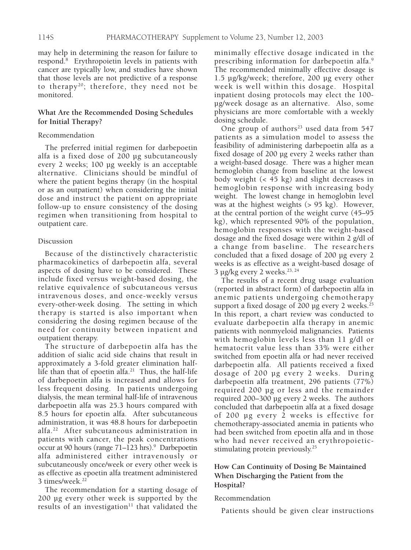may help in determining the reason for failure to respond.8 Erythropoietin levels in patients with cancer are typically low, and studies have shown that those levels are not predictive of a response to therapy<sup>20</sup>; therefore, they need not be monitored.

# **What Are the Recommended Dosing Schedules for Initial Therapy?**

### Recommendation

The preferred initial regimen for darbepoetin alfa is a fixed dose of 200 µg subcutaneously every 2 weeks; 100 µg weekly is an acceptable alternative. Clinicians should be mindful of where the patient begins therapy (in the hospital or as an outpatient) when considering the initial dose and instruct the patient on appropriate follow-up to ensure consistency of the dosing regimen when transitioning from hospital to outpatient care.

### Discussion

Because of the distinctively characteristic pharmacokinetics of darbepoetin alfa, several aspects of dosing have to be considered. These include fixed versus weight-based dosing, the relative equivalence of subcutaneous versus intravenous doses, and once-weekly versus every-other-week dosing. The setting in which therapy is started is also important when considering the dosing regimen because of the need for continuity between inpatient and outpatient therapy.

The structure of darbepoetin alfa has the addition of sialic acid side chains that result in approximately a 3-fold greater elimination halflife than that of epoetin alfa. $21$  Thus, the half-life of darbepoetin alfa is increased and allows for less frequent dosing. In patients undergoing dialysis, the mean terminal half-life of intravenous darbepoetin alfa was 25.3 hours compared with 8.5 hours for epoetin alfa. After subcutaneous administration, it was 48.8 hours for darbepoetin alfa.22 After subcutaneous administration in patients with cancer, the peak concentrations occur at 90 hours (range  $71-123$  hrs).<sup>9</sup> Darbepoetin alfa administered either intravenously or subcutaneously once/week or every other week is as effective as epoetin alfa treatment administered 3 times/week.<sup>22</sup>

The recommendation for a starting dosage of 200 µg every other week is supported by the results of an investigation $11$  that validated the minimally effective dosage indicated in the prescribing information for darbepoetin alfa.9 The recommended minimally effective dosage is 1.5 µg/kg/week; therefore, 200 µg every other week is well within this dosage. Hospital inpatient dosing protocols may elect the 100 µg/week dosage as an alternative. Also, some physicians are more comfortable with a weekly dosing schedule.

One group of authors<sup>23</sup> used data from  $547$ patients as a simulation model to assess the feasibility of administering darbepoetin alfa as a fixed dosage of 200 µg every 2 weeks rather than a weight-based dosage. There was a higher mean hemoglobin change from baseline at the lowest body weight (< 45 kg) and slight decreases in hemoglobin response with increasing body weight. The lowest change in hemoglobin level was at the highest weights (> 95 kg). However, at the central portion of the weight curve (45–95 kg), which represented 90% of the population, hemoglobin responses with the weight-based dosage and the fixed dosage were within 2 g/dl of a change from baseline. The researchers concluded that a fixed dosage of 200 µg every 2 weeks is as effective as a weight-based dosage of 3 µg/kg every 2 weeks. $23, 24$ 

The results of a recent drug usage evaluation (reported in abstract form) of darbepoetin alfa in anemic patients undergoing chemotherapy support a fixed dosage of 200  $\mu$ g every 2 weeks.<sup>25</sup> In this report, a chart review was conducted to evaluate darbepoetin alfa therapy in anemic patients with nonmyeloid malignancies. Patients with hemoglobin levels less than 11 g/dl or hematocrit value less than 33% were either switched from epoetin alfa or had never received darbepoetin alfa. All patients received a fixed dosage of 200 µg every 2 weeks. During darbepoetin alfa treatment, 296 patients (77%) required 200 µg or less and the remainder required 200–300 µg every 2 weeks. The authors concluded that darbepoetin alfa at a fixed dosage of 200 µg every 2 weeks is effective for chemotherapy-associated anemia in patients who had been switched from epoetin alfa and in those who had never received an erythropoieticstimulating protein previously.<sup>25</sup>

# **How Can Continuity of Dosing Be Maintained When Discharging the Patient from the Hospital?**

### Recommendation

Patients should be given clear instructions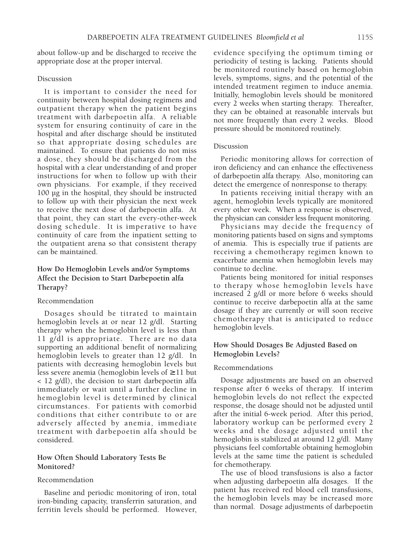about follow-up and be discharged to receive the appropriate dose at the proper interval.

### Discussion

It is important to consider the need for continuity between hospital dosing regimens and outpatient therapy when the patient begins treatment with darbepoetin alfa. A reliable system for ensuring continuity of care in the hospital and after discharge should be instituted so that appropriate dosing schedules are maintained. To ensure that patients do not miss a dose, they should be discharged from the hospital with a clear understanding of and proper instructions for when to follow up with their own physicians. For example, if they received 100 µg in the hospital, they should be instructed to follow up with their physician the next week to receive the next dose of darbepoetin alfa. At that point, they can start the every-other-week dosing schedule. It is imperative to have continuity of care from the inpatient setting to the outpatient arena so that consistent therapy can be maintained.

# **How Do Hemoglobin Levels and/or Symptoms Affect the Decision to Start Darbepoetin alfa Therapy?**

# Recommendation

Dosages should be titrated to maintain hemoglobin levels at or near 12 g/dl. Starting therapy when the hemoglobin level is less than 11 g/dl is appropriate. There are no data supporting an additional benefit of normalizing hemoglobin levels to greater than 12 g/dl. In patients with decreasing hemoglobin levels but less severe anemia (hemoglobin levels of  $\geq 11$  but < 12 g/dl), the decision to start darbepoetin alfa immediately or wait until a further decline in hemoglobin level is determined by clinical circumstances. For patients with comorbid conditions that either contribute to or are adversely affected by anemia, immediate treatment with darbepoetin alfa should be considered.

# **How Often Should Laboratory Tests Be Monitored?**

### Recommendation

Baseline and periodic monitoring of iron, total iron-binding capacity, transferrin saturation, and ferritin levels should be performed. However, evidence specifying the optimum timing or periodicity of testing is lacking. Patients should be monitored routinely based on hemoglobin levels, symptoms, signs, and the potential of the intended treatment regimen to induce anemia. Initially, hemoglobin levels should be monitored every 2 weeks when starting therapy. Thereafter, they can be obtained at reasonable intervals but not more frequently than every 2 weeks. Blood pressure should be monitored routinely.

### Discussion

Periodic monitoring allows for correction of iron deficiency and can enhance the effectiveness of darbepoetin alfa therapy. Also, monitoring can detect the emergence of nonresponse to therapy.

In patients receiving initial therapy with an agent, hemoglobin levels typically are monitored every other week. When a response is observed, the physician can consider less frequent monitoring.

Physicians may decide the frequency of monitoring patients based on signs and symptoms of anemia. This is especially true if patients are receiving a chemotherapy regimen known to exacerbate anemia when hemoglobin levels may continue to decline.

Patients being monitored for initial responses to therapy whose hemoglobin levels have increased 2 g/dl or more before 6 weeks should continue to receive darbepoetin alfa at the same dosage if they are currently or will soon receive chemotherapy that is anticipated to reduce hemoglobin levels.

# **How Should Dosages Be Adjusted Based on Hemoglobin Levels?**

### Recommendations

Dosage adjustments are based on an observed response after 6 weeks of therapy. If interim hemoglobin levels do not reflect the expected response, the dosage should not be adjusted until after the initial 6-week period. After this period, laboratory workup can be performed every 2 weeks and the dosage adjusted until the hemoglobin is stabilized at around 12 g/dl. Many physicians feel comfortable obtaining hemoglobin levels at the same time the patient is scheduled for chemotherapy.

The use of blood transfusions is also a factor when adjusting darbepoetin alfa dosages. If the patient has received red blood cell transfusions, the hemoglobin levels may be increased more than normal. Dosage adjustments of darbepoetin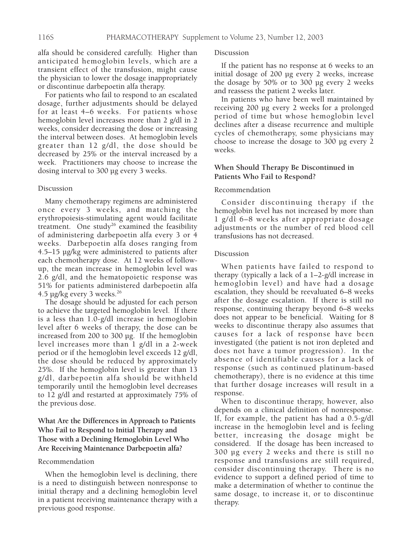alfa should be considered carefully. Higher than anticipated hemoglobin levels, which are a transient effect of the transfusion, might cause the physician to lower the dosage inappropriately or discontinue darbepoetin alfa therapy.

For patients who fail to respond to an escalated dosage, further adjustments should be delayed for at least 4–6 weeks. For patients whose hemoglobin level increases more than 2 g/dl in 2 weeks, consider decreasing the dose or increasing the interval between doses. At hemoglobin levels greater than 12 g/dl, the dose should be decreased by 25% or the interval increased by a week. Practitioners may choose to increase the dosing interval to 300 µg every 3 weeks.

### Discussion

Many chemotherapy regimens are administered once every 3 weeks, and matching the erythropoiesis-stimulating agent would facilitate treatment. One study<sup>26</sup> examined the feasibility of administering darbepoetin alfa every 3 or 4 weeks. Darbepoetin alfa doses ranging from 4.5–15 µg/kg were administered to patients after each chemotherapy dose. At 12 weeks of followup, the mean increase in hemoglobin level was 2.6 g/dl, and the hematopoietic response was 51% for patients administered darbepoetin alfa 4.5 µg/kg every 3 weeks.26

The dosage should be adjusted for each person to achieve the targeted hemoglobin level. If there is a less than 1.0-g/dl increase in hemoglobin level after 6 weeks of therapy, the dose can be increased from 200 to 300 µg. If the hemoglobin level increases more than 1 g/dl in a 2-week period or if the hemoglobin level exceeds 12 g/dl, the dose should be reduced by approximately 25%. If the hemoglobin level is greater than 13 g/dl, darbepoetin alfa should be withheld temporarily until the hemoglobin level decreases to 12 g/dl and restarted at approximately 75% of the previous dose.

# **What Are the Differences in Approach to Patients Who Fail to Respond to Initial Therapy and Those with a Declining Hemoglobin Level Who Are Receiving Maintenance Darbepoetin alfa?**

### Recommendation

When the hemoglobin level is declining, there is a need to distinguish between nonresponse to initial therapy and a declining hemoglobin level in a patient receiving maintenance therapy with a previous good response.

### Discussion

If the patient has no response at 6 weeks to an initial dosage of 200 µg every 2 weeks, increase the dosage by 50% or to 300 µg every 2 weeks and reassess the patient 2 weeks later.

In patients who have been well maintained by receiving 200 µg every 2 weeks for a prolonged period of time but whose hemoglobin level declines after a disease recurrence and multiple cycles of chemotherapy, some physicians may choose to increase the dosage to 300 µg every 2 weeks.

# **When Should Therapy Be Discontinued in Patients Who Fail to Respond?**

### Recommendation

Consider discontinuing therapy if the hemoglobin level has not increased by more than 1 g/dl 6–8 weeks after appropriate dosage adjustments or the number of red blood cell transfusions has not decreased.

### Discussion

When patients have failed to respond to therapy (typically a lack of a 1–2-g/dl increase in hemoglobin level) and have had a dosage escalation, they should be reevaluated 6–8 weeks after the dosage escalation. If there is still no response, continuing therapy beyond 6–8 weeks does not appear to be beneficial. Waiting for 8 weeks to discontinue therapy also assumes that causes for a lack of response have been investigated (the patient is not iron depleted and does not have a tumor progression). In the absence of identifiable causes for a lack of response (such as continued platinum-based chemotherapy), there is no evidence at this time that further dosage increases will result in a response.

When to discontinue therapy, however, also depends on a clinical definition of nonresponse. If, for example, the patient has had a 0.5-g/dl increase in the hemoglobin level and is feeling better, increasing the dosage might be considered. If the dosage has been increased to 300 µg every 2 weeks and there is still no response and transfusions are still required, consider discontinuing therapy. There is no evidence to support a defined period of time to make a determination of whether to continue the same dosage, to increase it, or to discontinue therapy.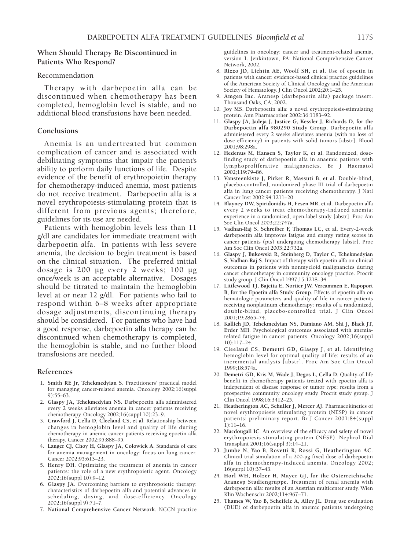# **When Should Therapy Be Discontinued in Patients Who Respond?**

### Recommendation

Therapy with darbepoetin alfa can be discontinued when chemotherapy has been completed, hemoglobin level is stable, and no additional blood transfusions have been needed.

### **Conclusions**

Anemia is an undertreated but common complication of cancer and is associated with debilitating symptoms that impair the patient's ability to perform daily functions of life. Despite evidence of the benefit of erythropoietin therapy for chemotherapy-induced anemia, most patients do not receive treatment. Darbepoetin alfa is a novel erythropoiesis-stimulating protein that is different from previous agents; therefore, guidelines for its use are needed.

Patients with hemoglobin levels less than 11 g/dl are candidates for immediate treatment with darbepoetin alfa. In patients with less severe anemia, the decision to begin treatment is based on the clinical situation. The preferred initial dosage is 200 µg every 2 weeks; 100 µg once/week is an acceptable alternative. Dosages should be titrated to maintain the hemoglobin level at or near 12 g/dl. For patients who fail to respond within 6–8 weeks after appropriate dosage adjustments, discontinuing therapy should be considered. For patients who have had a good response, darbepoetin alfa therapy can be discontinued when chemotherapy is completed, the hemoglobin is stable, and no further blood transfusions are needed.

### **References**

- 1**. Smith RE Jr, Tchekmedyian S**. Practitioners' practical model for managing cancer-related anemia. Oncology 2002;16(suppl 9):55–63.
- 2**. Glaspy JA, Tchekmedyian NS**. Darbepoetin alfa administered every 2 weeks alleviates anemia in cancer patients receiving chemotherapy. Oncology  $2002;16$ (suppl 10): $23-9$ .
- 3**. Crawford J, Cella D, Cleeland CS, et al**. Relationship between changes in hemoglobin level and quality of life during chemotherapy in anemic cancer patients receiving epoetin alfa therapy. Cancer 2002;95:888–95.
- 4**. Langer CJ, Choy H, Glaspy JA, Colowick A**. Standards of care for anemia management in oncology: focus on lung cancer. Cancer 2002;95:613–23.
- 5**. Henry DH**. Optimizing the treatment of anemia in cancer patients: the role of a new erythropoietic agent. Oncology 2002;16(suppl 10):9–12.
- 6**. Glaspy JA**. Overcoming barriers to erythropoietic therapy: characteristics of darbepoetin alfa and potential advances in scheduling, dosing, and dose-efficiency. Oncology 2002;16(suppl 9):71–7.
- 7**. National Comprehensive Cancer Network**. NCCN practice

guidelines in oncology: cancer and treatment-related anemia, version 1. Jenkintown, PA: National Comprehensive Cancer Network, 2002.

- 8**. Rizzo JD, Lichtin AE, Woolf SH, et al**. Use of epoetin in patients with cancer: evidence-based clinical practice guidelines of the American Society of Clinical Oncology and the American Society of Hematology. J Clin Oncol 2002;20:1–25.
- 9**. Amgen Inc**. Aranesp (darbepoetin alfa) package insert. Thousand Oaks, CA; 2002.
- 10**. Joy MS**. Darbepoetin alfa: a novel erythropoiesis-stimulating protein. Ann Pharmacother 2002;36:1183–92.
- 11**. Glaspy JA, Jadeja J, Justice G, Kessler J, Richards D, for the Darbepoetin alfa 980290 Study Group**. Darbepoetin alfa administered every 2 weeks alleviates anemia (with no loss of dose efficiency) in patients with solid tumors [abstr]. Blood 2001;98:298a.
- 12**. Hedenus M, Hansen S, Taylor K, et al**. Randomized, dosefinding study of darbepoetin alfa in anaemic patients with lymphoproliferative malignancies. Br J Haematol 2002;119:79–86.
- 13**. Vansteenkiste J, Pirker R, Massuti B, et al**. Double-blind, placebo-controlled, randomized phase III trial of darbepoetin alfa in lung cancer patients receiving chemotherapy. J Natl Cancer Inst 2002;94:1211–20.
- 14**. Blayney DW, Spiridonidis H, Fesen MR, et al**. Darbepoetin alfa every 2 weeks to treat chemotherapy-induced anemia: experience in a randomized, open-label study [abstr]. Proc Am Soc Clin Oncol 2003;22:747a.
- 15**. Vadhan-Raj S, Schreiber F, Thomas LC, et al**. Every-2-week darbepoetin alfa improves fatigue and energy rating scores in cancer patients (pts) undergoing chemotherapy [abstr]. Proc Am Soc Clin Oncol 2003;22:732a.
- 16**. Glaspy J, Bukowski R, Steinberg D, Taylor C, Tchekmedyian S, Vadhan-Raj S**. Impact of therapy with epoetin alfa on clinical outcomes in patients with nonmyeloid malignancies during cancer chemotherapy in community oncology practice. Procrit study group. J Clin Oncol 1997;15:1218–34.
- 17**. Littlewood TJ, Bajetta E, Nortier JW, Vercammen E, Rapoport B, for the Epoetin alfa Study Group**. Effects of epoetin alfa on hematologic parameters and quality of life in cancer patients receiving nonplatinum chemotherapy: results of a randomized, double-blind, placebo-controlled trial. J Clin Oncol 2001;19:2865–74.
- 18**. Kallich JD, Tchekmedyian NS, Damiano AM, Shi J, Black JT, Erder MH**. Psychological outcomes associated with anemiarelated fatigue in cancer patients. Oncology 2002;16(suppl 10):117–24.
- 19**. Cleeland CS, Demetri GD, Glaspy J, et al**. Identifying hemoglobin level for optimal quality of life: results of an incremental analysis [abstr]. Proc Am Soc Clin Oncol 1999;18:574a.
- 20**. Demetri GD, Kris M, Wade J, Degos L, Cella D**. Quality-of-life benefit in chemotherapy patients treated with epoetin alfa is independent of disease response or tumor type: results from a prospective community oncology study. Procrit study group. J Clin Oncol 1998;16:3412–25.
- 21**. Heatherington AC, Schuller J, Mercer AJ**. Pharmacokinetics of novel erythropoiesis stimulating protein (NESP) in cancer patients: preliminary report. Br J Cancer 2001:84(suppl 1):11–16.
- 22**. Macdougall IC**. An overview of the efficacy and safety of novel erythropoiesis stimulating protein (NESP). Nephrol Dial Transplant 2001;16(suppl 3):14–21.
- 23**. Jumbe N, Yao B, Rovetti R, Rossi G, Heatherington AC**. Clinical trial simulation of a 200-µg fixed dose of darbepoetin alfa in chemotherapy-induced anemia. Oncology 2002; 16(suppl 10):37–43.
- 24**. Horl WH, Holzer H, Mayer GJ, for the Osterreichische Aranesp Studiengruppe**. Treatment of renal anemia with darbepoetin alfa: results of an Austrian multicenter study. Wien Klin Wochenschr 2002;114:967–71.
- 25**. Thames W, Yao B, Scheifele A, Alley JL**. Drug use evaluation (DUE) of darbepoetin alfa in anemic patients undergoing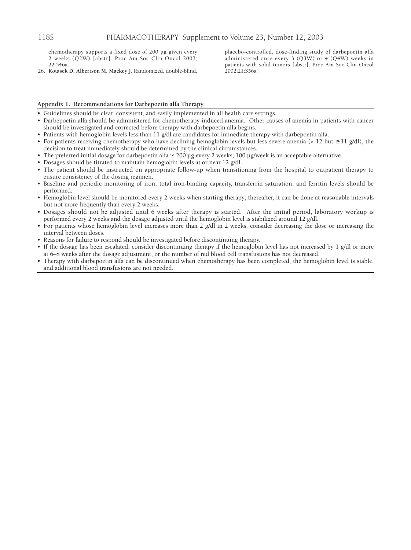chemotherapy supports a fixed dose of 200 µg given every 2 weeks (Q2W) [abstr]. Proc Am Soc Clin Oncol 2003; 22:546a.

26**. Kotasek D, Albertson M, Mackey J**. Randomized, double-blind,

placebo-controlled, dose-finding study of darbepoetin alfa administered once every 3 ( $Q3W$ ) or 4 ( $Q4W$ ) weeks in patients with solid tumors [abstr]. Proc Am Soc Clin Oncol 2002;21:356a.

#### **Appendix 1. Recommendations for Darbepoetin alfa Therapy**

- Guidelines should be clear, consistent, and easily implemented in all health care settings.
- Darbepoetin alfa should be administered for chemotherapy-induced anemia. Other causes of anemia in patients with cancer should be investigated and corrected before therapy with darbepoetin alfa begins.
- Patients with hemoglobin levels less than 11 g/dl are candidates for immediate therapy with darbepoetin alfa.
- For patients receiving chemotherapy who have declining hemoglobin levels but less severe anemia (< 12 but ≥ 11 g/dl), the decision to treat immediately should be determined by the clinical circumstances.
- The preferred initial dosage for darbepoetin alfa is 200 µg every 2 weeks; 100 µg/week is an acceptable alternative.
- Dosages should be titrated to maintain hemoglobin levels at or near 12 g/dl.
- The patient should be instructed on appropriate follow-up when transitioning from the hospital to outpatient therapy to ensure consistency of the dosing regimen.
- Baseline and periodic monitoring of iron, total iron-binding capacity, transferrin saturation, and ferritin levels should be performed.
- Hemoglobin level should be monitored every 2 weeks when starting therapy; thereafter, it can be done at reasonable intervals but not more frequently than every 2 weeks.
- Dosages should not be adjusted until 6 weeks after therapy is started. After the initial period, laboratory workup is performed every 2 weeks and the dosage adjusted until the hemoglobin level is stabilized around 12 g/dl.
- For patients whose hemoglobin level increases more than 2 g/dl in 2 weeks, consider decreasing the dose or increasing the interval between doses.
- Reasons for failure to respond should be investigated before discontinuing therapy.
- If the dosage has been escalated, consider discontinuing therapy if the hemoglobin level has not increased by 1 g/dl or more at 6–8 weeks after the dosage adjustment, or the number of red blood cell transfusions has not decreased.
- Therapy with darbepoetin alfa can be discontinued when chemotherapy has been completed, the hemoglobin level is stable, and additional blood transfusions are not needed.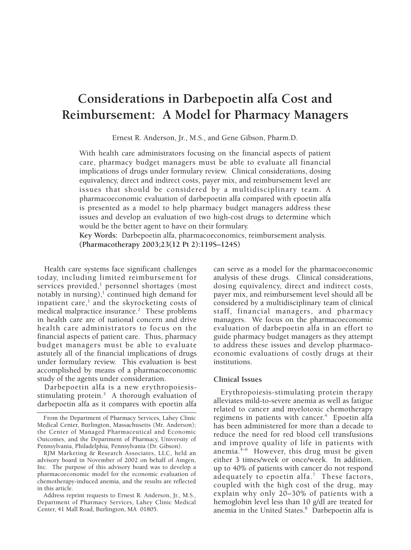# **Considerations in Darbepoetin alfa Cost and Reimbursement: A Model for Pharmacy Managers**

Ernest R. Anderson, Jr., M.S., and Gene Gibson, Pharm.D.

With health care administrators focusing on the financial aspects of patient care, pharmacy budget managers must be able to evaluate all financial implications of drugs under formulary review. Clinical considerations, dosing equivalency, direct and indirect costs, payer mix, and reimbursement level are issues that should be considered by a multidisciplinary team. A pharmacoeconomic evaluation of darbepoetin alfa compared with epoetin alfa is presented as a model to help pharmacy budget managers address these issues and develop an evaluation of two high-cost drugs to determine which would be the better agent to have on their formulary.

**Key Words:** Darbepoetin alfa, pharmacoeconomics, reimbursement analysis. **(Pharmacotherapy 2003;23(12 Pt 2):119S–124S)**

Health care systems face significant challenges today, including limited reimbursement for services provided,<sup>1</sup> personnel shortages (most notably in nursing), $\frac{1}{2}$  continued high demand for inpatient care, $<sup>1</sup>$  and the skyrocketing costs of</sup> medical malpractice insurance.<sup>2</sup> These problems in health care are of national concern and drive health care administrators to focus on the financial aspects of patient care. Thus, pharmacy budget managers must be able to evaluate astutely all of the financial implications of drugs under formulary review. This evaluation is best accomplished by means of a pharmacoeconomic study of the agents under consideration.

Darbepoetin alfa is a new erythropoiesisstimulating protein.3 A thorough evaluation of darbepoetin alfa as it compares with epoetin alfa can serve as a model for the pharmacoeconomic analysis of these drugs. Clinical considerations, dosing equivalency, direct and indirect costs, payer mix, and reimbursement level should all be considered by a multidisciplinary team of clinical staff, financial managers, and pharmacy managers. We focus on the pharmacoeconomic evaluation of darbepoetin alfa in an effort to guide pharmacy budget managers as they attempt to address these issues and develop pharmacoeconomic evaluations of costly drugs at their institutions.

### **Clinical Issues**

Erythropoiesis-stimulating protein therapy alleviates mild-to-severe anemia as well as fatigue related to cancer and myelotoxic chemotherapy regimens in patients with cancer.<sup>4</sup> Epoetin alfa has been administered for more than a decade to reduce the need for red blood cell transfusions and improve quality of life in patients with anemia. $4-6$  However, this drug must be given either 3 times/week or once/week. In addition, up to 40% of patients with cancer do not respond adequately to epoetin alfa. $^7$  These factors, coupled with the high cost of the drug, may explain why only 20–30% of patients with a hemoglobin level less than 10 g/dl are treated for anemia in the United States.<sup>8</sup> Darbepoetin alfa is

From the Department of Pharmacy Services, Lahey Clinic Medical Center, Burlington, Massachusetts (Mr. Anderson); the Center of Managed Pharmaceutical and Economic Outcomes, and the Department of Pharmacy, University of Pennsylvania, Philadelphia, Pennsylvania (Dr. Gibson).

RJM Marketing & Research Associates, LLC, held an advisory board in November of 2002 on behalf of Amgen, Inc. The purpose of this advisory board was to develop a pharmacoeconomic model for the economic evaluation of chemotherapy-induced anemia, and the results are reflected in this article.

Address reprint requests to Ernest R. Anderson, Jr., M.S., Department of Pharmacy Services, Lahey Clinic Medical Center, 41 Mall Road, Burlington, MA 01805.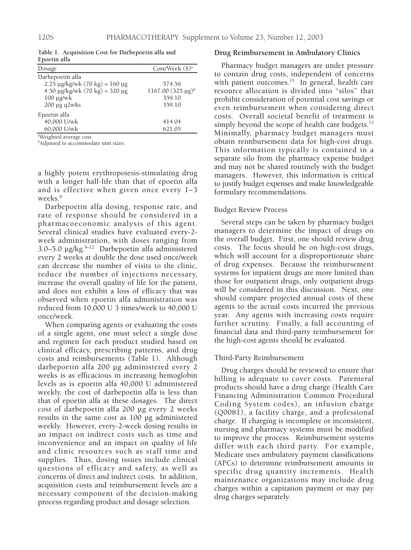| Dosage                                   | Cost/Week $(\text{\$})^a$   |
|------------------------------------------|-----------------------------|
| Darbepoetin alfa                         |                             |
| $2.25 \mu$ g/kg/wk (70 kg) = 160 $\mu$ g | 574.56                      |
| $4.50 \mu$ g/kg/wk (70 kg) = 320 µg      | $1167.00(325 \text{ µg})^b$ |
| $100 \mu g/wk$                           | 359.10                      |
| $200 \mu$ g q $2w$ ks                    | 359.10                      |
| Epoetin alfa                             |                             |
| 40,000 U/wk                              | 414.04                      |
| 60,000 U/wk                              | 621.05                      |

**Table 1. Acquisition Cost for Darbepoetin alfa and Epoetin alfa**

a Weighted average cost.

b Adjusted to accommodate unit sizes.

a highly potent erythropoiesis-stimulating drug with a longer half-life than that of epoetin alfa and is effective when given once every 1–3 weeks.<sup>8</sup>

Darbepoetin alfa dosing, response rate, and rate of response should be considered in a pharmacoeconomic analysis of this agent. Several clinical studies have evaluated every-2 week administration, with doses ranging from 3.0–5.0  $\mu$ g/kg.<sup>9–12</sup> Darbepoetin alfa administered every 2 weeks at double the dose used once/week can decrease the number of visits to the clinic, reduce the number of injections necessary, increase the overall quality of life for the patient, and does not exhibit a loss of efficacy that was observed when epoetin alfa administration was reduced from 10,000 U 3 times/week to 40,000 U once/week.

When comparing agents or evaluating the costs of a single agent, one must select a single dose and regimen for each product studied based on clinical efficacy, prescribing patterns, and drug costs and reimbursements (Table 1). Although darbepoetin alfa 200 µg administered every 2 weeks is as efficacious in increasing hemoglobin levels as is epoetin alfa 40,000 U administered weekly, the cost of darbepoetin alfa is less than that of epoetin alfa at these dosages. The direct cost of darbepoetin alfa 200 µg every 2 weeks results in the same cost as 100 µg administered weekly. However, every-2-week dosing results in an impact on indirect costs such as time and inconvenience and an impact on quality of life and clinic resources such as staff time and supplies. Thus, dosing issues include clinical questions of efficacy and safety, as well as concerns of direct and indirect costs. In addition, acquisition costs and reimbursement levels are a necessary component of the decision-making process regarding product and dosage selection.

### **Drug Reimbursement in Ambulatory Clinics**

Pharmacy budget managers are under pressure to contain drug costs, independent of concerns with patient outcomes.<sup>13</sup> In general, health care resource allocation is divided into "silos" that prohibit consideration of potential cost savings or even reimbursement when considering direct costs. Overall societal benefit of treatment is simply beyond the scope of health care budgets. $13$ Minimally, pharmacy budget managers must obtain reimbursement data for high-cost drugs. This information typically is contained in a separate silo from the pharmacy expense budget and may not be shared routinely with the budget managers. However, this information is critical to justify budget expenses and make knowledgeable formulary recommendations.

### Budget Review Process

Several steps can be taken by pharmacy budget managers to determine the impact of drugs on the overall budget. First, one should review drug costs. The focus should be on high-cost drugs, which will account for a disproportionate share of drug expenses. Because the reimbursement systems for inpatient drugs are more limited than those for outpatient drugs, only outpatient drugs will be considered in this discussion. Next, one should compare projected annual costs of these agents to the actual costs incurred the previous year. Any agents with increasing costs require further scrutiny. Finally, a full accounting of financial data and third-party reimbursement for the high-cost agents should be evaluated.

### Third-Party Reimbursement

Drug charges should be reviewed to ensure that billing is adequate to cover costs. Parenteral products should have a drug charge (Health Care Financing Administration Common Procedural Coding System codes), an infusion charge (Q0081), a facility charge, and a professional charge. If charging is incomplete or inconsistent, nursing and pharmacy systems must be modified to improve the process. Reimbursement systems differ with each third party. For example, Medicare uses ambulatory payment classifications (APCs) to determine reimbursement amounts in specific drug quantity increments. Health maintenance organizations may include drug charges within a capitation payment or may pay drug charges separately.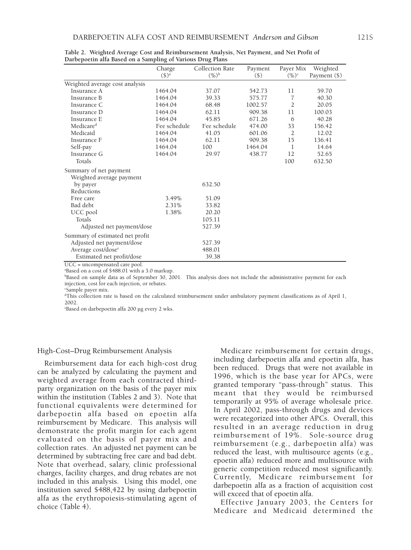|                                 | Charge       | Collection Rate   | Payment | Payer Mix      | Weighted     |
|---------------------------------|--------------|-------------------|---------|----------------|--------------|
|                                 | $($ \$ $)^a$ | $(\frac{6}{6})^b$ | $($ \$  | $(\%)^c$       | Payment (\$) |
| Weighted average cost analysis  |              |                   |         |                |              |
| Insurance A                     | 1464.04      | 37.07             | 542.73  | 11             | 59.70        |
| Insurance B                     | 1464.04      | 39.33             | 575.77  | 7              | 40.30        |
| Insurance C                     | 1464.04      | 68.48             | 1002.57 | $\overline{2}$ | 20.05        |
| Insurance D                     | 1464.04      | 62.11             | 909.38  | 11             | 100.03       |
| Insurance E                     | 1464.04      | 45.85             | 671.26  | 6              | 40.28        |
| Medicare <sup>d</sup>           | Fee schedule | Fee schedule      | 474.00  | 33             | 156.42       |
| Medicaid                        | 1464.04      | 41.05             | 601.06  | 2              | 12.02        |
| Insurance F                     | 1464.04      | 62.11             | 909.38  | 15             | 136.41       |
| Self-pay                        | 1464.04      | 100               | 1464.04 | 1              | 14.64        |
| Insurance G                     | 1464.04      | 29.97             | 438.77  | 12             | 52.65        |
| Totals                          |              |                   |         | 100            | 632.50       |
| Summary of net payment          |              |                   |         |                |              |
| Weighted average payment        |              |                   |         |                |              |
| by payer                        |              | 632.50            |         |                |              |
| Reductions                      |              |                   |         |                |              |
| Free care                       | 3.49%        | 51.09             |         |                |              |
| Bad debt                        | 2.31%        | 33.82             |         |                |              |
| UCC pool                        | 1.38%        | 20.20             |         |                |              |
| Totals                          |              | 105.11            |         |                |              |
| Adjusted net payment/dose       |              | 527.39            |         |                |              |
| Summary of estimated net profit |              |                   |         |                |              |
| Adjusted net payment/dose       |              | 527.39            |         |                |              |
| Average cost/dose <sup>e</sup>  |              | 488.01            |         |                |              |
| Estimated net profit/dose       |              | 39.38             |         |                |              |

**Table 2. Weighted Average Cost and Reimbursement Analysis, Net Payment, and Net Profit of Darbepoetin alfa Based on a Sampling of Various Drug Plans**

UCC = uncompensated care pool.

a Based on a cost of \$488.01 with a 3.0 markup.

b Based on sample data as of September 30, 2001. This analysis does not include the administrative payment for each injection, cost for each injection, or rebates.

c Sample payer mix.

d This collection rate is based on the calculated reimbursement under ambulatory payment classifications as of April 1, 2002.

e Based on darbepoetin alfa 200 µg every 2 wks.

### High-Cost–Drug Reimbursement Analysis

Reimbursement data for each high-cost drug can be analyzed by calculating the payment and weighted average from each contracted thirdparty organization on the basis of the payer mix within the institution (Tables 2 and 3). Note that functional equivalents were determined for darbepoetin alfa based on epoetin alfa reimbursement by Medicare. This analysis will demonstrate the profit margin for each agent evaluated on the basis of payer mix and collection rates. An adjusted net payment can be determined by subtracting free care and bad debt. Note that overhead, salary, clinic professional charges, facility charges, and drug rebates are not included in this analysis. Using this model, one institution saved \$488,422 by using darbepoetin alfa as the erythropoiesis-stimulating agent of choice (Table 4).

Medicare reimbursement for certain drugs, including darbepoetin alfa and epoetin alfa, has been reduced. Drugs that were not available in 1996, which is the base year for APCs, were granted temporary "pass-through" status. This meant that they would be reimbursed temporarily at 95% of average wholesale price. In April 2002, pass-through drugs and devices were recategorized into other APCs. Overall, this resulted in an average reduction in drug reimbursement of 19%. Sole-source drug reimbursement (e.g., darbepoetin alfa) was reduced the least, with multisource agents (e.g., epoetin alfa) reduced more and multisource with generic competition reduced most significantly. Currently, Medicare reimbursement for darbepoetin alfa as a fraction of acquisition cost will exceed that of epoetin alfa.

Effective January 2003, the Centers for Medicare and Medicaid determined the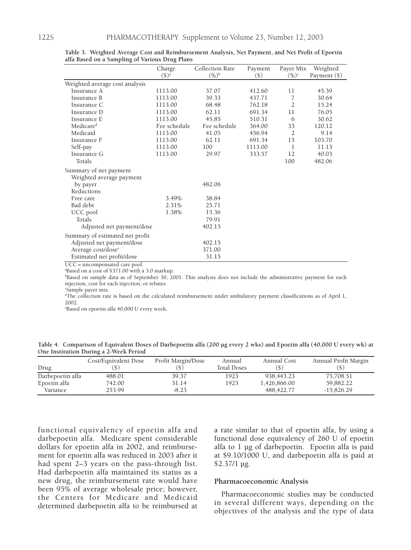|                                 | Charge       | Collection Rate   | Payment | Payer Mix      | Weighted     |
|---------------------------------|--------------|-------------------|---------|----------------|--------------|
|                                 | $(\$)^a$     | $(\frac{6}{6})^b$ | $($ \$) | $(\%)^c$       | Payment (\$) |
| Weighted average cost analysis  |              |                   |         |                |              |
| Insurance A                     | 1113.00      | 37.07             | 412.60  | 11             | 45.39        |
| Insurance B                     | 1113.00      | 39.33             | 437.71  | 7              | 30.64        |
| Insurance C                     | 1113.00      | 68.48             | 762.18  | $\overline{2}$ | 15.24        |
| Insurance D                     | 1113.00      | 62.11             | 691.34  | 11             | 76.05        |
| Insurance E                     | 1113.00      | 45.85             | 510.31  | 6              | 30.62        |
| Medicare <sup>d</sup>           | Fee schedule | Fee schedule      | 364.00  | 33             | 120.12       |
| Medicaid                        | 1113.00      | 41.05             | 456.94  | $\overline{2}$ | 9.14         |
| Insurance F                     | 1113.00      | 62.11             | 691.34  | 15             | 103.70       |
| Self-pay                        | 1113.00      | 100               | 1113.00 | -1             | 11.13        |
| Insurance G                     | 1113.00      | 29.97             | 333.57  | 12             | 40.03        |
| Totals                          |              |                   |         | 100            | 482.06       |
| Summary of net payment          |              |                   |         |                |              |
| Weighted average payment        |              |                   |         |                |              |
| by payer                        |              | 482.06            |         |                |              |
| Reductions                      |              |                   |         |                |              |
| Free care                       | 3.49%        | 38.84             |         |                |              |
| Bad debt                        | 2.31%        | 25.71             |         |                |              |
| UCC pool                        | 1.38%        | 15.36             |         |                |              |
| Totals                          |              | 79.91             |         |                |              |
| Adjusted net payment/dose       |              | 402.15            |         |                |              |
| Summary of estimated net profit |              |                   |         |                |              |
| Adjusted net payment/dose       |              | 402.15            |         |                |              |
| Average cost/dose <sup>e</sup>  |              | 371.00            |         |                |              |
| Estimated net profit/dose       |              | 31.15             |         |                |              |

**Table 3. Weighted Average Cost and Reimbursement Analysis, Net Payment, and Net Profit of Epoetin alfa Based on a Sampling of Various Drug Plans**

UCC = uncompensated care pool.

a Based on a cost of \$371.00 with a 3.0 markup.

b Based on sample data as of September 30, 2001. This analysis does not include the administrative payment for each injection, cost for each injection, or rebates.

c Sample payer mix.

d The collection rate is based on the calculated reimbursement under ambulatory payment classifications as of April 1, 2002.

e Based on epoetin alfa 40,000 U every week.

**Table 4. Comparison of Equivalent Doses of Darbepoetin alfa (200 µg every 2 wks) and Epoetin alfa (40,000 U every wk) at One Institution During a 2-Week Period**

| Drug             | Cost/Equivalent Dose | Profit Margin/Dose | Annual<br><b>Total Doses</b> | Annual Cost<br>(S) | Annual Profit Margin |
|------------------|----------------------|--------------------|------------------------------|--------------------|----------------------|
| Darbepoetin alfa | 488.01               | 39.37              | 1923                         | 938, 443. 23       | 75,708.51            |
| Epoetin alfa     | 742.00               | 31.14              | 1923                         | 1,426,866.00       | 59,882.22            |
| Variance         | 253.99               | $-8.23$            |                              | 488, 422, 77       | $-15.826.29$         |

functional equivalency of epoetin alfa and darbepoetin alfa. Medicare spent considerable dollars for epoetin alfa in 2002, and reimbursement for epoetin alfa was reduced in 2003 after it had spent 2–3 years on the pass-through list. Had darbepoetin alfa maintained its status as a new drug, the reimbursement rate would have been 95% of average wholesale price; however, the Centers for Medicare and Medicaid determined darbepoetin alfa to be reimbursed at a rate similar to that of epoetin alfa, by using a functional dose equivalency of 260 U of epoetin alfa to 1 µg of darbepoetin. Epoetin alfa is paid at \$9.10/1000 U, and darbepoetin alfa is paid at \$2.37/1 µg.

### **Pharmacoeconomic Analysis**

Pharmacoeconomic studies may be conducted in several different ways, depending on the objectives of the analysis and the type of data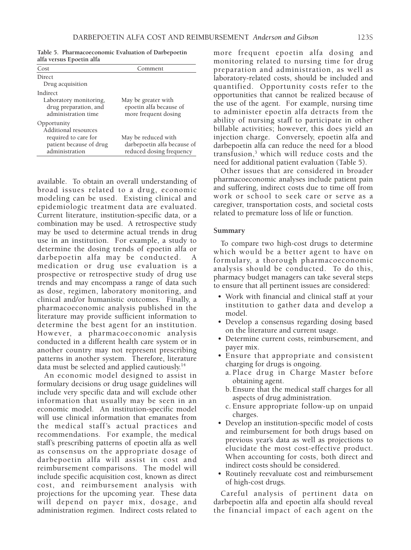| Cost                                                                   | Comment                                                                        |
|------------------------------------------------------------------------|--------------------------------------------------------------------------------|
| Direct                                                                 |                                                                                |
| Drug acquisition<br>Indirect                                           |                                                                                |
| Laboratory monitoring,<br>drug preparation, and<br>administration time | May be greater with<br>epoetin alfa because of<br>more frequent dosing         |
| Opportunity<br>Additional resources                                    |                                                                                |
| required to care for<br>patient because of drug<br>administration      | May be reduced with<br>darbepoetin alfa because of<br>reduced dosing frequency |

**Table 5. Pharmacoeconomic Evaluation of Darbepoetin alfa versus Epoetin alfa**

available. To obtain an overall understanding of broad issues related to a drug, economic modeling can be used. Existing clinical and epidemiologic treatment data are evaluated. Current literature, institution-specific data, or a combination may be used. A retrospective study may be used to determine actual trends in drug use in an institution. For example, a study to determine the dosing trends of epoetin alfa or darbepoetin alfa may be conducted. A medication or drug use evaluation is a prospective or retrospective study of drug use trends and may encompass a range of data such as dose, regimen, laboratory monitoring, and clinical and/or humanistic outcomes. Finally, a pharmacoeconomic analysis published in the literature may provide sufficient information to determine the best agent for an institution. However, a pharmacoeconomic analysis conducted in a different health care system or in another country may not represent prescribing patterns in another system. Therefore, literature data must be selected and applied cautiously.<sup>14</sup>

An economic model designed to assist in formulary decisions or drug usage guidelines will include very specific data and will exclude other information that usually may be seen in an economic model. An institution-specific model will use clinical information that emanates from the medical staff's actual practices and recommendations. For example, the medical staff's prescribing patterns of epoetin alfa as well as consensus on the appropriate dosage of darbepoetin alfa will assist in cost and reimbursement comparisons. The model will include specific acquisition cost, known as direct cost, and reimbursement analysis with projections for the upcoming year. These data will depend on payer mix, dosage, and administration regimen. Indirect costs related to more frequent epoetin alfa dosing and monitoring related to nursing time for drug preparation and administration, as well as laboratory-related costs, should be included and quantified. Opportunity costs refer to the opportunities that cannot be realized because of the use of the agent. For example, nursing time to administer epoetin alfa detracts from the ability of nursing staff to participate in other billable activities; however, this does yield an injection charge. Conversely, epoetin alfa and darbepoetin alfa can reduce the need for a blood transfusion,3 which will reduce costs and the need for additional patient evaluation (Table 5).

Other issues that are considered in broader pharmacoeconomic analyses include patient pain and suffering, indirect costs due to time off from work or school to seek care or serve as a caregiver, transportation costs, and societal costs related to premature loss of life or function.

### **Summary**

To compare two high-cost drugs to determine which would be a better agent to have on formulary, a thorough pharmacoeconomic analysis should be conducted. To do this, pharmacy budget managers can take several steps to ensure that all pertinent issues are considered:

- Work with financial and clinical staff at your institution to gather data and develop a model.
- Develop a consensus regarding dosing based on the literature and current usage.
- Determine current costs, reimbursement, and payer mix.
- Ensure that appropriate and consistent charging for drugs is ongoing.
	- a. Place drug in Charge Master before obtaining agent.
	- b. Ensure that the medical staff charges for all aspects of drug administration.
	- c. Ensure appropriate follow-up on unpaid charges.
- Develop an institution-specific model of costs and reimbursement for both drugs based on previous year's data as well as projections to elucidate the most cost-effective product. When accounting for costs, both direct and indirect costs should be considered.
- Routinely reevaluate cost and reimbursement of high-cost drugs.

Careful analysis of pertinent data on darbepoetin alfa and epoetin alfa should reveal the financial impact of each agent on the